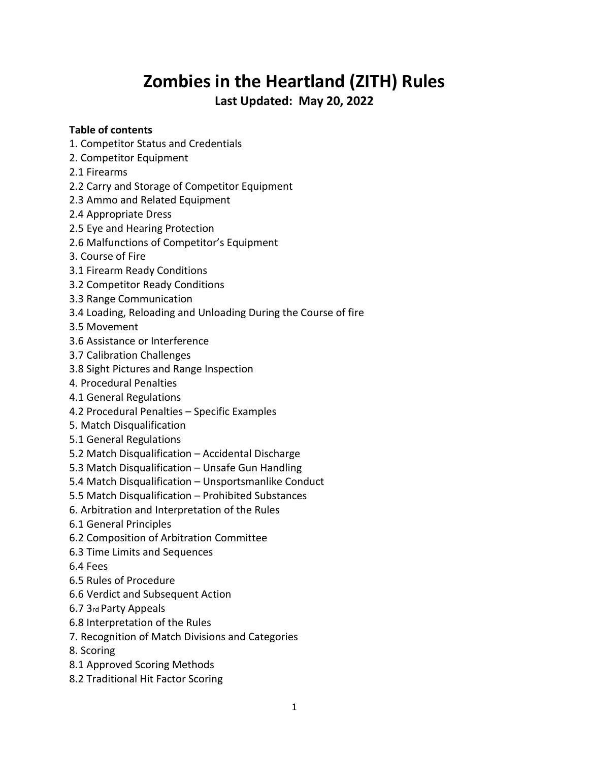# **Zombies in the Heartland (ZITH) Rules**

**Last Updated: May 20, 2022**

# **Table of contents**

- 1. Competitor Status and Credentials
- 2. Competitor Equipment
- 2.1 Firearms
- 2.2 Carry and Storage of Competitor Equipment
- 2.3 Ammo and Related Equipment
- 2.4 Appropriate Dress
- 2.5 Eye and Hearing Protection
- 2.6 Malfunctions of Competitor's Equipment
- 3. Course of Fire
- 3.1 Firearm Ready Conditions
- 3.2 Competitor Ready Conditions
- 3.3 Range Communication
- 3.4 Loading, Reloading and Unloading During the Course of fire
- 3.5 Movement
- 3.6 Assistance or Interference
- 3.7 Calibration Challenges
- 3.8 Sight Pictures and Range Inspection
- 4. Procedural Penalties
- 4.1 General Regulations
- 4.2 Procedural Penalties Specific Examples
- 5. Match Disqualification
- 5.1 General Regulations
- 5.2 Match Disqualification Accidental Discharge
- 5.3 Match Disqualification Unsafe Gun Handling
- 5.4 Match Disqualification Unsportsmanlike Conduct
- 5.5 Match Disqualification Prohibited Substances
- 6. Arbitration and Interpretation of the Rules
- 6.1 General Principles
- 6.2 Composition of Arbitration Committee
- 6.3 Time Limits and Sequences
- 6.4 Fees
- 6.5 Rules of Procedure
- 6.6 Verdict and Subsequent Action
- 6.7 3rd Party Appeals
- 6.8 Interpretation of the Rules
- 7. Recognition of Match Divisions and Categories
- 8. Scoring
- 8.1 Approved Scoring Methods
- 8.2 Traditional Hit Factor Scoring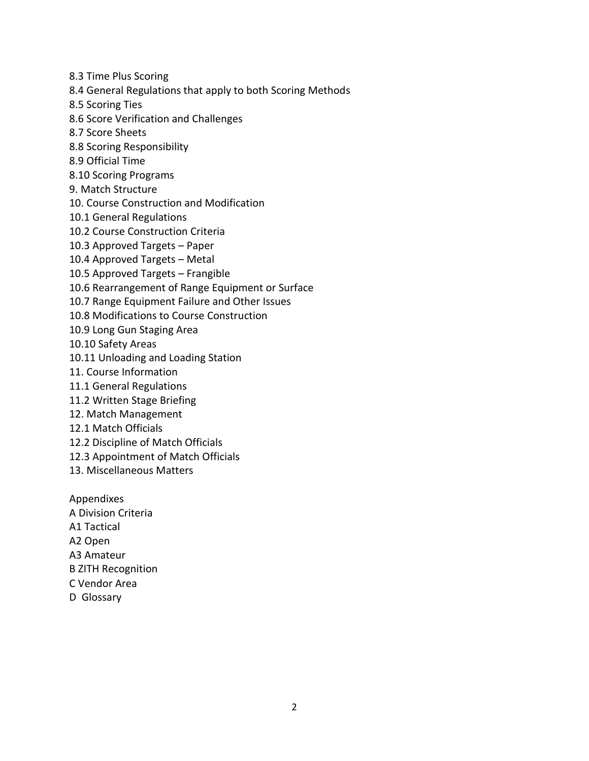- 8.3 Time Plus Scoring
- 8.4 General Regulations that apply to both Scoring Methods
- 8.5 Scoring Ties
- 8.6 Score Verification and Challenges
- 8.7 Score Sheets
- 8.8 Scoring Responsibility
- 8.9 Official Time
- 8.10 Scoring Programs
- 9. Match Structure
- 10. Course Construction and Modification
- 10.1 General Regulations
- 10.2 Course Construction Criteria
- 10.3 Approved Targets Paper
- 10.4 Approved Targets Metal
- 10.5 Approved Targets Frangible
- 10.6 Rearrangement of Range Equipment or Surface
- 10.7 Range Equipment Failure and Other Issues
- 10.8 Modifications to Course Construction
- 10.9 Long Gun Staging Area
- 10.10 Safety Areas
- 10.11 Unloading and Loading Station
- 11. Course Information
- 11.1 General Regulations
- 11.2 Written Stage Briefing
- 12. Match Management
- 12.1 Match Officials
- 12.2 Discipline of Match Officials
- 12.3 Appointment of Match Officials
- 13. Miscellaneous Matters

Appendixes A Division Criteria A1 Tactical A2 Open A3 Amateur B ZITH Recognition C Vendor Area

D Glossary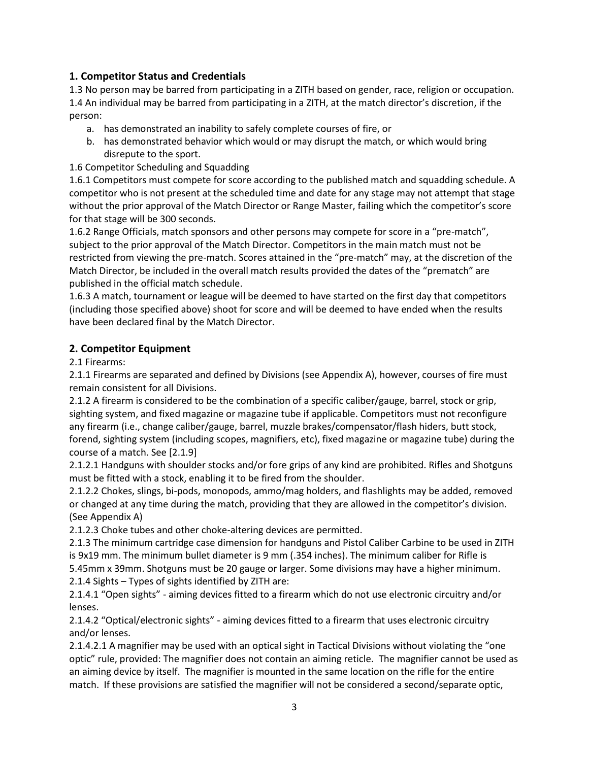# **1. Competitor Status and Credentials**

1.3 No person may be barred from participating in a ZITH based on gender, race, religion or occupation. 1.4 An individual may be barred from participating in a ZITH, at the match director's discretion, if the person:

- a. has demonstrated an inability to safely complete courses of fire, or
- b. has demonstrated behavior which would or may disrupt the match, or which would bring disrepute to the sport.

#### 1.6 Competitor Scheduling and Squadding

1.6.1 Competitors must compete for score according to the published match and squadding schedule. A competitor who is not present at the scheduled time and date for any stage may not attempt that stage without the prior approval of the Match Director or Range Master, failing which the competitor's score for that stage will be 300 seconds.

1.6.2 Range Officials, match sponsors and other persons may compete for score in a "pre-match", subject to the prior approval of the Match Director. Competitors in the main match must not be restricted from viewing the pre-match. Scores attained in the "pre-match" may, at the discretion of the Match Director, be included in the overall match results provided the dates of the "prematch" are published in the official match schedule.

1.6.3 A match, tournament or league will be deemed to have started on the first day that competitors (including those specified above) shoot for score and will be deemed to have ended when the results have been declared final by the Match Director.

## **2. Competitor Equipment**

2.1 Firearms:

2.1.1 Firearms are separated and defined by Divisions (see Appendix A), however, courses of fire must remain consistent for all Divisions.

2.1.2 A firearm is considered to be the combination of a specific caliber/gauge, barrel, stock or grip, sighting system, and fixed magazine or magazine tube if applicable. Competitors must not reconfigure any firearm (i.e., change caliber/gauge, barrel, muzzle brakes/compensator/flash hiders, butt stock, forend, sighting system (including scopes, magnifiers, etc), fixed magazine or magazine tube) during the course of a match. See [2.1.9]

2.1.2.1 Handguns with shoulder stocks and/or fore grips of any kind are prohibited. Rifles and Shotguns must be fitted with a stock, enabling it to be fired from the shoulder.

2.1.2.2 Chokes, slings, bi-pods, monopods, ammo/mag holders, and flashlights may be added, removed or changed at any time during the match, providing that they are allowed in the competitor's division. (See Appendix A)

2.1.2.3 Choke tubes and other choke-altering devices are permitted.

2.1.3 The minimum cartridge case dimension for handguns and Pistol Caliber Carbine to be used in ZITH is 9x19 mm. The minimum bullet diameter is 9 mm (.354 inches). The minimum caliber for Rifle is 5.45mm x 39mm. Shotguns must be 20 gauge or larger. Some divisions may have a higher minimum. 2.1.4 Sights – Types of sights identified by ZITH are:

2.1.4.1 "Open sights" - aiming devices fitted to a firearm which do not use electronic circuitry and/or lenses.

2.1.4.2 "Optical/electronic sights" - aiming devices fitted to a firearm that uses electronic circuitry and/or lenses.

2.1.4.2.1 A magnifier may be used with an optical sight in Tactical Divisions without violating the "one optic" rule, provided: The magnifier does not contain an aiming reticle. The magnifier cannot be used as an aiming device by itself. The magnifier is mounted in the same location on the rifle for the entire match. If these provisions are satisfied the magnifier will not be considered a second/separate optic,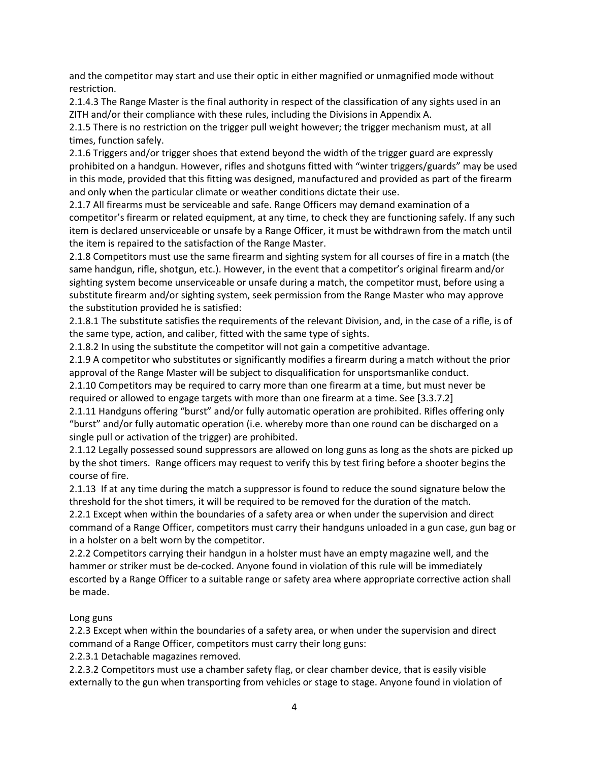and the competitor may start and use their optic in either magnified or unmagnified mode without restriction.

2.1.4.3 The Range Master is the final authority in respect of the classification of any sights used in an ZITH and/or their compliance with these rules, including the Divisions in Appendix A.

2.1.5 There is no restriction on the trigger pull weight however; the trigger mechanism must, at all times, function safely.

2.1.6 Triggers and/or trigger shoes that extend beyond the width of the trigger guard are expressly prohibited on a handgun. However, rifles and shotguns fitted with "winter triggers/guards" may be used in this mode, provided that this fitting was designed, manufactured and provided as part of the firearm and only when the particular climate or weather conditions dictate their use.

2.1.7 All firearms must be serviceable and safe. Range Officers may demand examination of a competitor's firearm or related equipment, at any time, to check they are functioning safely. If any such item is declared unserviceable or unsafe by a Range Officer, it must be withdrawn from the match until the item is repaired to the satisfaction of the Range Master.

2.1.8 Competitors must use the same firearm and sighting system for all courses of fire in a match (the same handgun, rifle, shotgun, etc.). However, in the event that a competitor's original firearm and/or sighting system become unserviceable or unsafe during a match, the competitor must, before using a substitute firearm and/or sighting system, seek permission from the Range Master who may approve the substitution provided he is satisfied:

2.1.8.1 The substitute satisfies the requirements of the relevant Division, and, in the case of a rifle, is of the same type, action, and caliber, fitted with the same type of sights.

2.1.8.2 In using the substitute the competitor will not gain a competitive advantage.

2.1.9 A competitor who substitutes or significantly modifies a firearm during a match without the prior approval of the Range Master will be subject to disqualification for unsportsmanlike conduct.

2.1.10 Competitors may be required to carry more than one firearm at a time, but must never be required or allowed to engage targets with more than one firearm at a time. See [3.3.7.2]

2.1.11 Handguns offering "burst" and/or fully automatic operation are prohibited. Rifles offering only "burst" and/or fully automatic operation (i.e. whereby more than one round can be discharged on a single pull or activation of the trigger) are prohibited.

2.1.12 Legally possessed sound suppressors are allowed on long guns as long as the shots are picked up by the shot timers. Range officers may request to verify this by test firing before a shooter begins the course of fire.

2.1.13 If at any time during the match a suppressor is found to reduce the sound signature below the threshold for the shot timers, it will be required to be removed for the duration of the match.

2.2.1 Except when within the boundaries of a safety area or when under the supervision and direct command of a Range Officer, competitors must carry their handguns unloaded in a gun case, gun bag or in a holster on a belt worn by the competitor.

2.2.2 Competitors carrying their handgun in a holster must have an empty magazine well, and the hammer or striker must be de-cocked. Anyone found in violation of this rule will be immediately escorted by a Range Officer to a suitable range or safety area where appropriate corrective action shall be made.

#### Long guns

2.2.3 Except when within the boundaries of a safety area, or when under the supervision and direct command of a Range Officer, competitors must carry their long guns:

2.2.3.1 Detachable magazines removed.

2.2.3.2 Competitors must use a chamber safety flag, or clear chamber device, that is easily visible externally to the gun when transporting from vehicles or stage to stage. Anyone found in violation of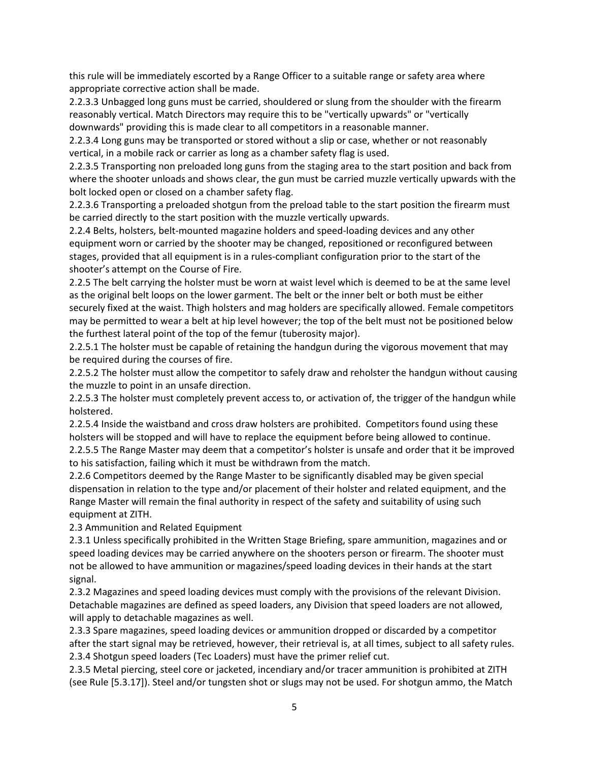this rule will be immediately escorted by a Range Officer to a suitable range or safety area where appropriate corrective action shall be made.

2.2.3.3 Unbagged long guns must be carried, shouldered or slung from the shoulder with the firearm reasonably vertical. Match Directors may require this to be "vertically upwards" or "vertically downwards" providing this is made clear to all competitors in a reasonable manner.

2.2.3.4 Long guns may be transported or stored without a slip or case, whether or not reasonably vertical, in a mobile rack or carrier as long as a chamber safety flag is used.

2.2.3.5 Transporting non preloaded long guns from the staging area to the start position and back from where the shooter unloads and shows clear, the gun must be carried muzzle vertically upwards with the bolt locked open or closed on a chamber safety flag.

2.2.3.6 Transporting a preloaded shotgun from the preload table to the start position the firearm must be carried directly to the start position with the muzzle vertically upwards.

2.2.4 Belts, holsters, belt-mounted magazine holders and speed-loading devices and any other equipment worn or carried by the shooter may be changed, repositioned or reconfigured between stages, provided that all equipment is in a rules-compliant configuration prior to the start of the shooter's attempt on the Course of Fire.

2.2.5 The belt carrying the holster must be worn at waist level which is deemed to be at the same level as the original belt loops on the lower garment. The belt or the inner belt or both must be either securely fixed at the waist. Thigh holsters and mag holders are specifically allowed. Female competitors may be permitted to wear a belt at hip level however; the top of the belt must not be positioned below the furthest lateral point of the top of the femur (tuberosity major).

2.2.5.1 The holster must be capable of retaining the handgun during the vigorous movement that may be required during the courses of fire.

2.2.5.2 The holster must allow the competitor to safely draw and reholster the handgun without causing the muzzle to point in an unsafe direction.

2.2.5.3 The holster must completely prevent access to, or activation of, the trigger of the handgun while holstered.

2.2.5.4 Inside the waistband and cross draw holsters are prohibited. Competitors found using these holsters will be stopped and will have to replace the equipment before being allowed to continue.

2.2.5.5 The Range Master may deem that a competitor's holster is unsafe and order that it be improved to his satisfaction, failing which it must be withdrawn from the match.

2.2.6 Competitors deemed by the Range Master to be significantly disabled may be given special dispensation in relation to the type and/or placement of their holster and related equipment, and the Range Master will remain the final authority in respect of the safety and suitability of using such equipment at ZITH.

2.3 Ammunition and Related Equipment

2.3.1 Unless specifically prohibited in the Written Stage Briefing, spare ammunition, magazines and or speed loading devices may be carried anywhere on the shooters person or firearm. The shooter must not be allowed to have ammunition or magazines/speed loading devices in their hands at the start signal.

2.3.2 Magazines and speed loading devices must comply with the provisions of the relevant Division. Detachable magazines are defined as speed loaders, any Division that speed loaders are not allowed, will apply to detachable magazines as well.

2.3.3 Spare magazines, speed loading devices or ammunition dropped or discarded by a competitor after the start signal may be retrieved, however, their retrieval is, at all times, subject to all safety rules. 2.3.4 Shotgun speed loaders (Tec Loaders) must have the primer relief cut.

2.3.5 Metal piercing, steel core or jacketed, incendiary and/or tracer ammunition is prohibited at ZITH (see Rule [5.3.17]). Steel and/or tungsten shot or slugs may not be used. For shotgun ammo, the Match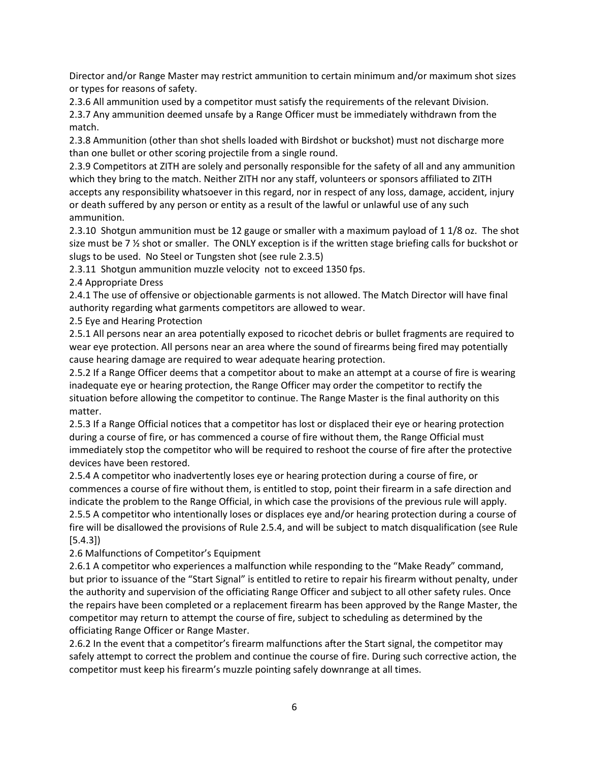Director and/or Range Master may restrict ammunition to certain minimum and/or maximum shot sizes or types for reasons of safety.

2.3.6 All ammunition used by a competitor must satisfy the requirements of the relevant Division.

2.3.7 Any ammunition deemed unsafe by a Range Officer must be immediately withdrawn from the match.

2.3.8 Ammunition (other than shot shells loaded with Birdshot or buckshot) must not discharge more than one bullet or other scoring projectile from a single round.

2.3.9 Competitors at ZITH are solely and personally responsible for the safety of all and any ammunition which they bring to the match. Neither ZITH nor any staff, volunteers or sponsors affiliated to ZITH accepts any responsibility whatsoever in this regard, nor in respect of any loss, damage, accident, injury or death suffered by any person or entity as a result of the lawful or unlawful use of any such ammunition.

2.3.10 Shotgun ammunition must be 12 gauge or smaller with a maximum payload of 1 1/8 oz. The shot size must be 7 ½ shot or smaller. The ONLY exception is if the written stage briefing calls for buckshot or slugs to be used. No Steel or Tungsten shot (see rule 2.3.5)

2.3.11 Shotgun ammunition muzzle velocity not to exceed 1350 fps.

2.4 Appropriate Dress

2.4.1 The use of offensive or objectionable garments is not allowed. The Match Director will have final authority regarding what garments competitors are allowed to wear.

2.5 Eye and Hearing Protection

2.5.1 All persons near an area potentially exposed to ricochet debris or bullet fragments are required to wear eye protection. All persons near an area where the sound of firearms being fired may potentially cause hearing damage are required to wear adequate hearing protection.

2.5.2 If a Range Officer deems that a competitor about to make an attempt at a course of fire is wearing inadequate eye or hearing protection, the Range Officer may order the competitor to rectify the situation before allowing the competitor to continue. The Range Master is the final authority on this matter.

2.5.3 If a Range Official notices that a competitor has lost or displaced their eye or hearing protection during a course of fire, or has commenced a course of fire without them, the Range Official must immediately stop the competitor who will be required to reshoot the course of fire after the protective devices have been restored.

2.5.4 A competitor who inadvertently loses eye or hearing protection during a course of fire, or commences a course of fire without them, is entitled to stop, point their firearm in a safe direction and indicate the problem to the Range Official, in which case the provisions of the previous rule will apply. 2.5.5 A competitor who intentionally loses or displaces eye and/or hearing protection during a course of fire will be disallowed the provisions of Rule 2.5.4, and will be subject to match disqualification (see Rule [5.4.3])

2.6 Malfunctions of Competitor's Equipment

2.6.1 A competitor who experiences a malfunction while responding to the "Make Ready" command, but prior to issuance of the "Start Signal" is entitled to retire to repair his firearm without penalty, under the authority and supervision of the officiating Range Officer and subject to all other safety rules. Once the repairs have been completed or a replacement firearm has been approved by the Range Master, the competitor may return to attempt the course of fire, subject to scheduling as determined by the officiating Range Officer or Range Master.

2.6.2 In the event that a competitor's firearm malfunctions after the Start signal, the competitor may safely attempt to correct the problem and continue the course of fire. During such corrective action, the competitor must keep his firearm's muzzle pointing safely downrange at all times.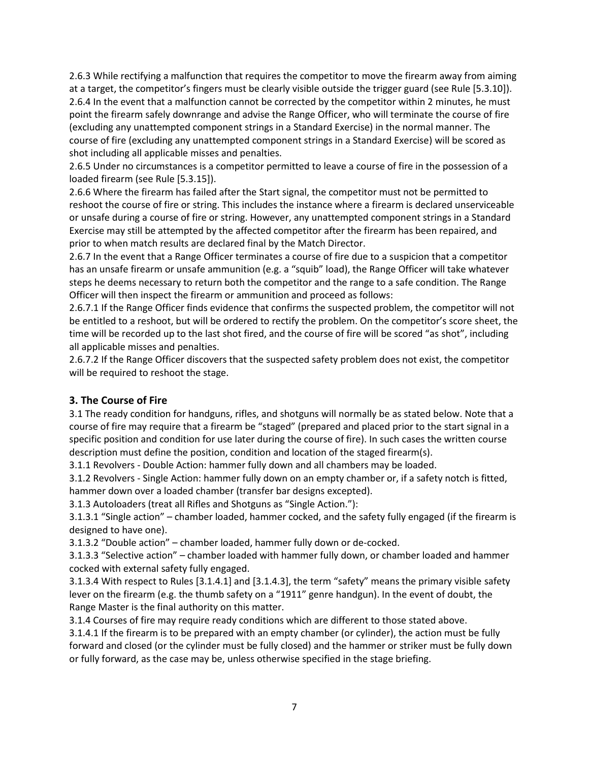2.6.3 While rectifying a malfunction that requires the competitor to move the firearm away from aiming at a target, the competitor's fingers must be clearly visible outside the trigger guard (see Rule [5.3.10]). 2.6.4 In the event that a malfunction cannot be corrected by the competitor within 2 minutes, he must point the firearm safely downrange and advise the Range Officer, who will terminate the course of fire (excluding any unattempted component strings in a Standard Exercise) in the normal manner. The course of fire (excluding any unattempted component strings in a Standard Exercise) will be scored as shot including all applicable misses and penalties.

2.6.5 Under no circumstances is a competitor permitted to leave a course of fire in the possession of a loaded firearm (see Rule [5.3.15]).

2.6.6 Where the firearm has failed after the Start signal, the competitor must not be permitted to reshoot the course of fire or string. This includes the instance where a firearm is declared unserviceable or unsafe during a course of fire or string. However, any unattempted component strings in a Standard Exercise may still be attempted by the affected competitor after the firearm has been repaired, and prior to when match results are declared final by the Match Director.

2.6.7 In the event that a Range Officer terminates a course of fire due to a suspicion that a competitor has an unsafe firearm or unsafe ammunition (e.g. a "squib" load), the Range Officer will take whatever steps he deems necessary to return both the competitor and the range to a safe condition. The Range Officer will then inspect the firearm or ammunition and proceed as follows:

2.6.7.1 If the Range Officer finds evidence that confirms the suspected problem, the competitor will not be entitled to a reshoot, but will be ordered to rectify the problem. On the competitor's score sheet, the time will be recorded up to the last shot fired, and the course of fire will be scored "as shot", including all applicable misses and penalties.

2.6.7.2 If the Range Officer discovers that the suspected safety problem does not exist, the competitor will be required to reshoot the stage.

#### **3. The Course of Fire**

3.1 The ready condition for handguns, rifles, and shotguns will normally be as stated below. Note that a course of fire may require that a firearm be "staged" (prepared and placed prior to the start signal in a specific position and condition for use later during the course of fire). In such cases the written course description must define the position, condition and location of the staged firearm(s).

3.1.1 Revolvers - Double Action: hammer fully down and all chambers may be loaded.

3.1.2 Revolvers - Single Action: hammer fully down on an empty chamber or, if a safety notch is fitted, hammer down over a loaded chamber (transfer bar designs excepted).

3.1.3 Autoloaders (treat all Rifles and Shotguns as "Single Action."):

3.1.3.1 "Single action" – chamber loaded, hammer cocked, and the safety fully engaged (if the firearm is designed to have one).

3.1.3.2 "Double action" – chamber loaded, hammer fully down or de-cocked.

3.1.3.3 "Selective action" – chamber loaded with hammer fully down, or chamber loaded and hammer cocked with external safety fully engaged.

3.1.3.4 With respect to Rules [3.1.4.1] and [3.1.4.3], the term "safety" means the primary visible safety lever on the firearm (e.g. the thumb safety on a "1911" genre handgun). In the event of doubt, the Range Master is the final authority on this matter.

3.1.4 Courses of fire may require ready conditions which are different to those stated above.

3.1.4.1 If the firearm is to be prepared with an empty chamber (or cylinder), the action must be fully forward and closed (or the cylinder must be fully closed) and the hammer or striker must be fully down or fully forward, as the case may be, unless otherwise specified in the stage briefing.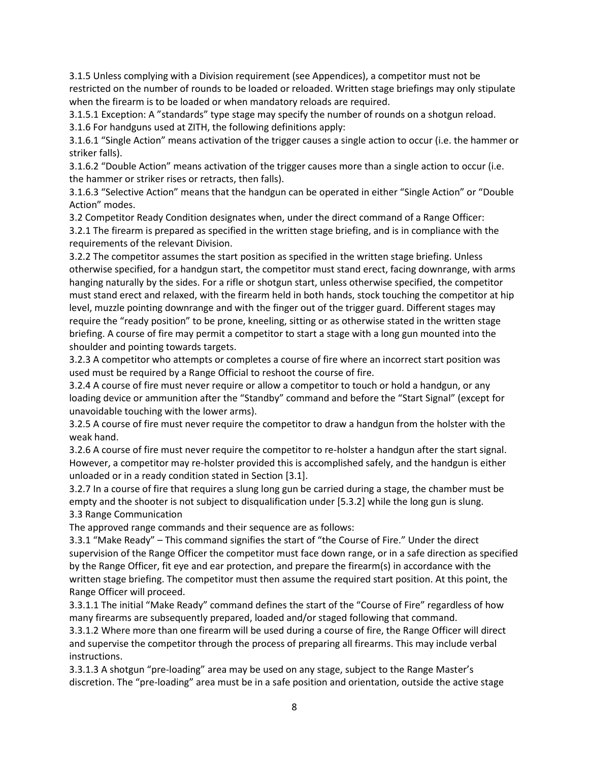3.1.5 Unless complying with a Division requirement (see Appendices), a competitor must not be restricted on the number of rounds to be loaded or reloaded. Written stage briefings may only stipulate when the firearm is to be loaded or when mandatory reloads are required.

3.1.5.1 Exception: A "standards" type stage may specify the number of rounds on a shotgun reload. 3.1.6 For handguns used at ZITH, the following definitions apply:

3.1.6.1 "Single Action" means activation of the trigger causes a single action to occur (i.e. the hammer or striker falls).

3.1.6.2 "Double Action" means activation of the trigger causes more than a single action to occur (i.e. the hammer or striker rises or retracts, then falls).

3.1.6.3 "Selective Action" means that the handgun can be operated in either "Single Action" or "Double Action" modes.

3.2 Competitor Ready Condition designates when, under the direct command of a Range Officer: 3.2.1 The firearm is prepared as specified in the written stage briefing, and is in compliance with the requirements of the relevant Division.

3.2.2 The competitor assumes the start position as specified in the written stage briefing. Unless otherwise specified, for a handgun start, the competitor must stand erect, facing downrange, with arms hanging naturally by the sides. For a rifle or shotgun start, unless otherwise specified, the competitor must stand erect and relaxed, with the firearm held in both hands, stock touching the competitor at hip level, muzzle pointing downrange and with the finger out of the trigger guard. Different stages may require the "ready position" to be prone, kneeling, sitting or as otherwise stated in the written stage briefing. A course of fire may permit a competitor to start a stage with a long gun mounted into the shoulder and pointing towards targets.

3.2.3 A competitor who attempts or completes a course of fire where an incorrect start position was used must be required by a Range Official to reshoot the course of fire.

3.2.4 A course of fire must never require or allow a competitor to touch or hold a handgun, or any loading device or ammunition after the "Standby" command and before the "Start Signal" (except for unavoidable touching with the lower arms).

3.2.5 A course of fire must never require the competitor to draw a handgun from the holster with the weak hand.

3.2.6 A course of fire must never require the competitor to re-holster a handgun after the start signal. However, a competitor may re-holster provided this is accomplished safely, and the handgun is either unloaded or in a ready condition stated in Section [3.1].

3.2.7 In a course of fire that requires a slung long gun be carried during a stage, the chamber must be empty and the shooter is not subject to disqualification under [5.3.2] while the long gun is slung. 3.3 Range Communication

The approved range commands and their sequence are as follows:

3.3.1 "Make Ready" – This command signifies the start of "the Course of Fire." Under the direct supervision of the Range Officer the competitor must face down range, or in a safe direction as specified by the Range Officer, fit eye and ear protection, and prepare the firearm(s) in accordance with the written stage briefing. The competitor must then assume the required start position. At this point, the Range Officer will proceed.

3.3.1.1 The initial "Make Ready" command defines the start of the "Course of Fire" regardless of how many firearms are subsequently prepared, loaded and/or staged following that command.

3.3.1.2 Where more than one firearm will be used during a course of fire, the Range Officer will direct and supervise the competitor through the process of preparing all firearms. This may include verbal instructions.

3.3.1.3 A shotgun "pre-loading" area may be used on any stage, subject to the Range Master's discretion. The "pre-loading" area must be in a safe position and orientation, outside the active stage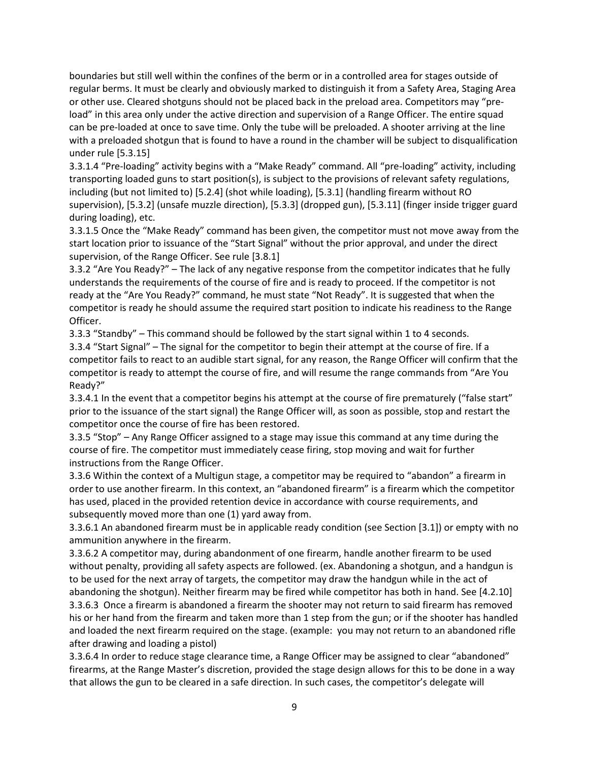boundaries but still well within the confines of the berm or in a controlled area for stages outside of regular berms. It must be clearly and obviously marked to distinguish it from a Safety Area, Staging Area or other use. Cleared shotguns should not be placed back in the preload area. Competitors may "preload" in this area only under the active direction and supervision of a Range Officer. The entire squad can be pre-loaded at once to save time. Only the tube will be preloaded. A shooter arriving at the line with a preloaded shotgun that is found to have a round in the chamber will be subject to disqualification under rule [5.3.15]

3.3.1.4 "Pre-loading" activity begins with a "Make Ready" command. All "pre-loading" activity, including transporting loaded guns to start position(s), is subject to the provisions of relevant safety regulations, including (but not limited to) [5.2.4] (shot while loading), [5.3.1] (handling firearm without RO supervision), [5.3.2] (unsafe muzzle direction), [5.3.3] (dropped gun), [5.3.11] (finger inside trigger guard during loading), etc.

3.3.1.5 Once the "Make Ready" command has been given, the competitor must not move away from the start location prior to issuance of the "Start Signal" without the prior approval, and under the direct supervision, of the Range Officer. See rule [3.8.1]

3.3.2 "Are You Ready?" – The lack of any negative response from the competitor indicates that he fully understands the requirements of the course of fire and is ready to proceed. If the competitor is not ready at the "Are You Ready?" command, he must state "Not Ready". It is suggested that when the competitor is ready he should assume the required start position to indicate his readiness to the Range Officer.

3.3.3 "Standby" – This command should be followed by the start signal within 1 to 4 seconds. 3.3.4 "Start Signal" – The signal for the competitor to begin their attempt at the course of fire. If a competitor fails to react to an audible start signal, for any reason, the Range Officer will confirm that the competitor is ready to attempt the course of fire, and will resume the range commands from "Are You Ready?"

3.3.4.1 In the event that a competitor begins his attempt at the course of fire prematurely ("false start" prior to the issuance of the start signal) the Range Officer will, as soon as possible, stop and restart the competitor once the course of fire has been restored.

3.3.5 "Stop" – Any Range Officer assigned to a stage may issue this command at any time during the course of fire. The competitor must immediately cease firing, stop moving and wait for further instructions from the Range Officer.

3.3.6 Within the context of a Multigun stage, a competitor may be required to "abandon" a firearm in order to use another firearm. In this context, an "abandoned firearm" is a firearm which the competitor has used, placed in the provided retention device in accordance with course requirements, and subsequently moved more than one (1) yard away from.

3.3.6.1 An abandoned firearm must be in applicable ready condition (see Section [3.1]) or empty with no ammunition anywhere in the firearm.

3.3.6.2 A competitor may, during abandonment of one firearm, handle another firearm to be used without penalty, providing all safety aspects are followed. (ex. Abandoning a shotgun, and a handgun is to be used for the next array of targets, the competitor may draw the handgun while in the act of abandoning the shotgun). Neither firearm may be fired while competitor has both in hand. See [4.2.10] 3.3.6.3 Once a firearm is abandoned a firearm the shooter may not return to said firearm has removed his or her hand from the firearm and taken more than 1 step from the gun; or if the shooter has handled and loaded the next firearm required on the stage. (example: you may not return to an abandoned rifle after drawing and loading a pistol)

3.3.6.4 In order to reduce stage clearance time, a Range Officer may be assigned to clear "abandoned" firearms, at the Range Master's discretion, provided the stage design allows for this to be done in a way that allows the gun to be cleared in a safe direction. In such cases, the competitor's delegate will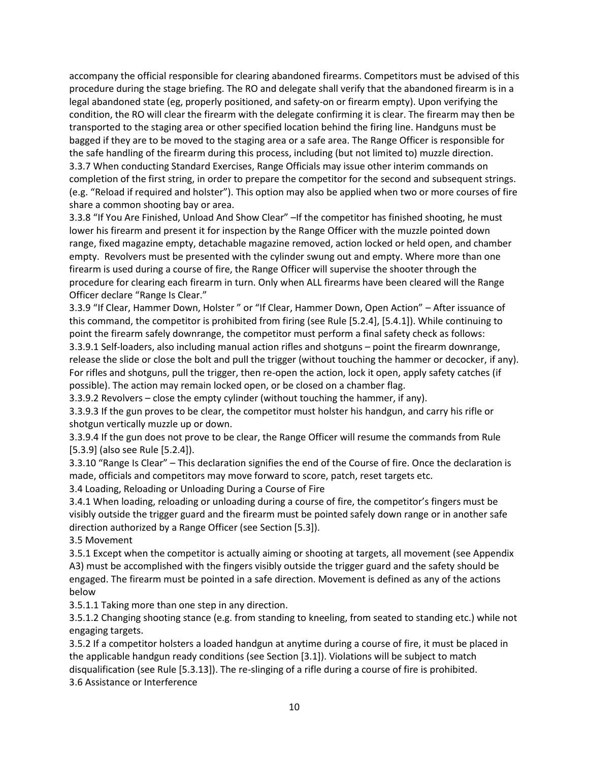accompany the official responsible for clearing abandoned firearms. Competitors must be advised of this procedure during the stage briefing. The RO and delegate shall verify that the abandoned firearm is in a legal abandoned state (eg, properly positioned, and safety-on or firearm empty). Upon verifying the condition, the RO will clear the firearm with the delegate confirming it is clear. The firearm may then be transported to the staging area or other specified location behind the firing line. Handguns must be bagged if they are to be moved to the staging area or a safe area. The Range Officer is responsible for the safe handling of the firearm during this process, including (but not limited to) muzzle direction. 3.3.7 When conducting Standard Exercises, Range Officials may issue other interim commands on completion of the first string, in order to prepare the competitor for the second and subsequent strings. (e.g. "Reload if required and holster"). This option may also be applied when two or more courses of fire share a common shooting bay or area.

3.3.8 "If You Are Finished, Unload And Show Clear" –If the competitor has finished shooting, he must lower his firearm and present it for inspection by the Range Officer with the muzzle pointed down range, fixed magazine empty, detachable magazine removed, action locked or held open, and chamber empty. Revolvers must be presented with the cylinder swung out and empty. Where more than one firearm is used during a course of fire, the Range Officer will supervise the shooter through the procedure for clearing each firearm in turn. Only when ALL firearms have been cleared will the Range Officer declare "Range Is Clear."

3.3.9 "If Clear, Hammer Down, Holster " or "If Clear, Hammer Down, Open Action" – After issuance of this command, the competitor is prohibited from firing (see Rule [5.2.4], [5.4.1]). While continuing to point the firearm safely downrange, the competitor must perform a final safety check as follows: 3.3.9.1 Self-loaders, also including manual action rifles and shotguns – point the firearm downrange, release the slide or close the bolt and pull the trigger (without touching the hammer or decocker, if any). For rifles and shotguns, pull the trigger, then re-open the action, lock it open, apply safety catches (if possible). The action may remain locked open, or be closed on a chamber flag.

3.3.9.2 Revolvers – close the empty cylinder (without touching the hammer, if any).

3.3.9.3 If the gun proves to be clear, the competitor must holster his handgun, and carry his rifle or shotgun vertically muzzle up or down.

3.3.9.4 If the gun does not prove to be clear, the Range Officer will resume the commands from Rule [5.3.9] (also see Rule [5.2.4]).

3.3.10 "Range Is Clear" – This declaration signifies the end of the Course of fire. Once the declaration is made, officials and competitors may move forward to score, patch, reset targets etc. 3.4 Loading, Reloading or Unloading During a Course of Fire

3.4.1 When loading, reloading or unloading during a course of fire, the competitor's fingers must be visibly outside the trigger guard and the firearm must be pointed safely down range or in another safe direction authorized by a Range Officer (see Section [5.3]).

3.5 Movement

3.5.1 Except when the competitor is actually aiming or shooting at targets, all movement (see Appendix A3) must be accomplished with the fingers visibly outside the trigger guard and the safety should be engaged. The firearm must be pointed in a safe direction. Movement is defined as any of the actions below

3.5.1.1 Taking more than one step in any direction.

3.5.1.2 Changing shooting stance (e.g. from standing to kneeling, from seated to standing etc.) while not engaging targets.

3.5.2 If a competitor holsters a loaded handgun at anytime during a course of fire, it must be placed in the applicable handgun ready conditions (see Section [3.1]). Violations will be subject to match disqualification (see Rule [5.3.13]). The re-slinging of a rifle during a course of fire is prohibited. 3.6 Assistance or Interference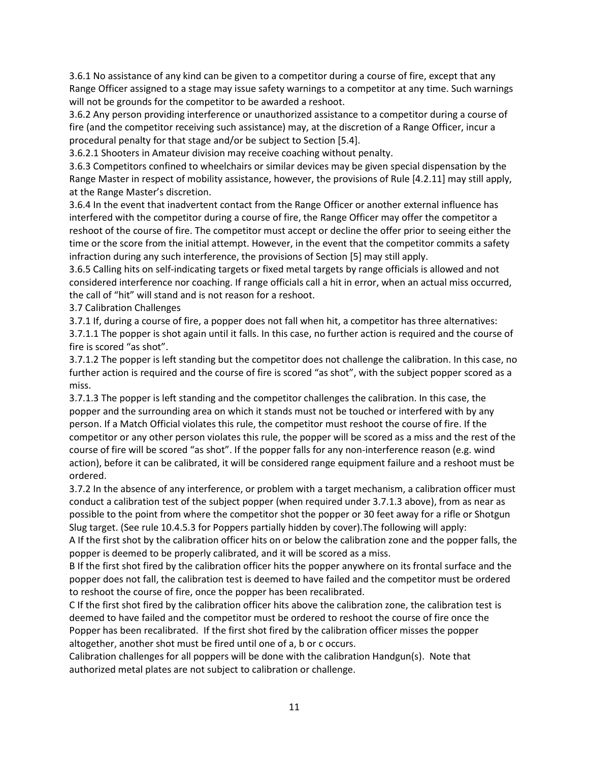3.6.1 No assistance of any kind can be given to a competitor during a course of fire, except that any Range Officer assigned to a stage may issue safety warnings to a competitor at any time. Such warnings will not be grounds for the competitor to be awarded a reshoot.

3.6.2 Any person providing interference or unauthorized assistance to a competitor during a course of fire (and the competitor receiving such assistance) may, at the discretion of a Range Officer, incur a procedural penalty for that stage and/or be subject to Section [5.4].

3.6.2.1 Shooters in Amateur division may receive coaching without penalty.

3.6.3 Competitors confined to wheelchairs or similar devices may be given special dispensation by the Range Master in respect of mobility assistance, however, the provisions of Rule [4.2.11] may still apply, at the Range Master's discretion.

3.6.4 In the event that inadvertent contact from the Range Officer or another external influence has interfered with the competitor during a course of fire, the Range Officer may offer the competitor a reshoot of the course of fire. The competitor must accept or decline the offer prior to seeing either the time or the score from the initial attempt. However, in the event that the competitor commits a safety infraction during any such interference, the provisions of Section [5] may still apply.

3.6.5 Calling hits on self-indicating targets or fixed metal targets by range officials is allowed and not considered interference nor coaching. If range officials call a hit in error, when an actual miss occurred, the call of "hit" will stand and is not reason for a reshoot.

3.7 Calibration Challenges

3.7.1 If, during a course of fire, a popper does not fall when hit, a competitor has three alternatives: 3.7.1.1 The popper is shot again until it falls. In this case, no further action is required and the course of fire is scored "as shot".

3.7.1.2 The popper is left standing but the competitor does not challenge the calibration. In this case, no further action is required and the course of fire is scored "as shot", with the subject popper scored as a miss.

3.7.1.3 The popper is left standing and the competitor challenges the calibration. In this case, the popper and the surrounding area on which it stands must not be touched or interfered with by any person. If a Match Official violates this rule, the competitor must reshoot the course of fire. If the competitor or any other person violates this rule, the popper will be scored as a miss and the rest of the course of fire will be scored "as shot". If the popper falls for any non-interference reason (e.g. wind action), before it can be calibrated, it will be considered range equipment failure and a reshoot must be ordered.

3.7.2 In the absence of any interference, or problem with a target mechanism, a calibration officer must conduct a calibration test of the subject popper (when required under 3.7.1.3 above), from as near as possible to the point from where the competitor shot the popper or 30 feet away for a rifle or Shotgun Slug target. (See rule 10.4.5.3 for Poppers partially hidden by cover).The following will apply:

A If the first shot by the calibration officer hits on or below the calibration zone and the popper falls, the popper is deemed to be properly calibrated, and it will be scored as a miss.

B If the first shot fired by the calibration officer hits the popper anywhere on its frontal surface and the popper does not fall, the calibration test is deemed to have failed and the competitor must be ordered to reshoot the course of fire, once the popper has been recalibrated.

C If the first shot fired by the calibration officer hits above the calibration zone, the calibration test is deemed to have failed and the competitor must be ordered to reshoot the course of fire once the Popper has been recalibrated. If the first shot fired by the calibration officer misses the popper altogether, another shot must be fired until one of a, b or c occurs.

Calibration challenges for all poppers will be done with the calibration Handgun(s). Note that authorized metal plates are not subject to calibration or challenge.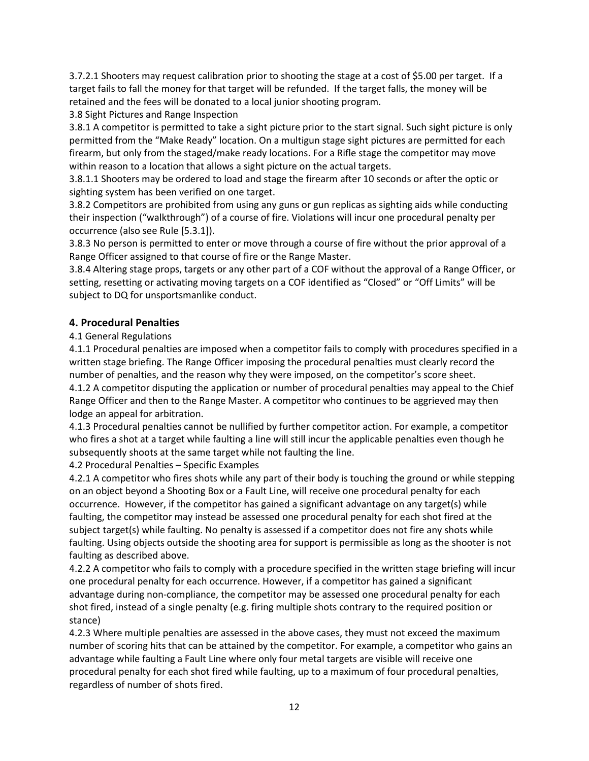3.7.2.1 Shooters may request calibration prior to shooting the stage at a cost of \$5.00 per target. If a target fails to fall the money for that target will be refunded. If the target falls, the money will be retained and the fees will be donated to a local junior shooting program.

3.8 Sight Pictures and Range Inspection

3.8.1 A competitor is permitted to take a sight picture prior to the start signal. Such sight picture is only permitted from the "Make Ready" location. On a multigun stage sight pictures are permitted for each firearm, but only from the staged/make ready locations. For a Rifle stage the competitor may move within reason to a location that allows a sight picture on the actual targets.

3.8.1.1 Shooters may be ordered to load and stage the firearm after 10 seconds or after the optic or sighting system has been verified on one target.

3.8.2 Competitors are prohibited from using any guns or gun replicas as sighting aids while conducting their inspection ("walkthrough") of a course of fire. Violations will incur one procedural penalty per occurrence (also see Rule [5.3.1]).

3.8.3 No person is permitted to enter or move through a course of fire without the prior approval of a Range Officer assigned to that course of fire or the Range Master.

3.8.4 Altering stage props, targets or any other part of a COF without the approval of a Range Officer, or setting, resetting or activating moving targets on a COF identified as "Closed" or "Off Limits" will be subject to DQ for unsportsmanlike conduct.

#### **4. Procedural Penalties**

#### 4.1 General Regulations

4.1.1 Procedural penalties are imposed when a competitor fails to comply with procedures specified in a written stage briefing. The Range Officer imposing the procedural penalties must clearly record the number of penalties, and the reason why they were imposed, on the competitor's score sheet. 4.1.2 A competitor disputing the application or number of procedural penalties may appeal to the Chief Range Officer and then to the Range Master. A competitor who continues to be aggrieved may then lodge an appeal for arbitration.

4.1.3 Procedural penalties cannot be nullified by further competitor action. For example, a competitor who fires a shot at a target while faulting a line will still incur the applicable penalties even though he subsequently shoots at the same target while not faulting the line.

4.2 Procedural Penalties – Specific Examples

4.2.1 A competitor who fires shots while any part of their body is touching the ground or while stepping on an object beyond a Shooting Box or a Fault Line, will receive one procedural penalty for each occurrence. However, if the competitor has gained a significant advantage on any target(s) while faulting, the competitor may instead be assessed one procedural penalty for each shot fired at the subject target(s) while faulting. No penalty is assessed if a competitor does not fire any shots while faulting. Using objects outside the shooting area for support is permissible as long as the shooter is not faulting as described above.

4.2.2 A competitor who fails to comply with a procedure specified in the written stage briefing will incur one procedural penalty for each occurrence. However, if a competitor has gained a significant advantage during non-compliance, the competitor may be assessed one procedural penalty for each shot fired, instead of a single penalty (e.g. firing multiple shots contrary to the required position or stance)

4.2.3 Where multiple penalties are assessed in the above cases, they must not exceed the maximum number of scoring hits that can be attained by the competitor. For example, a competitor who gains an advantage while faulting a Fault Line where only four metal targets are visible will receive one procedural penalty for each shot fired while faulting, up to a maximum of four procedural penalties, regardless of number of shots fired.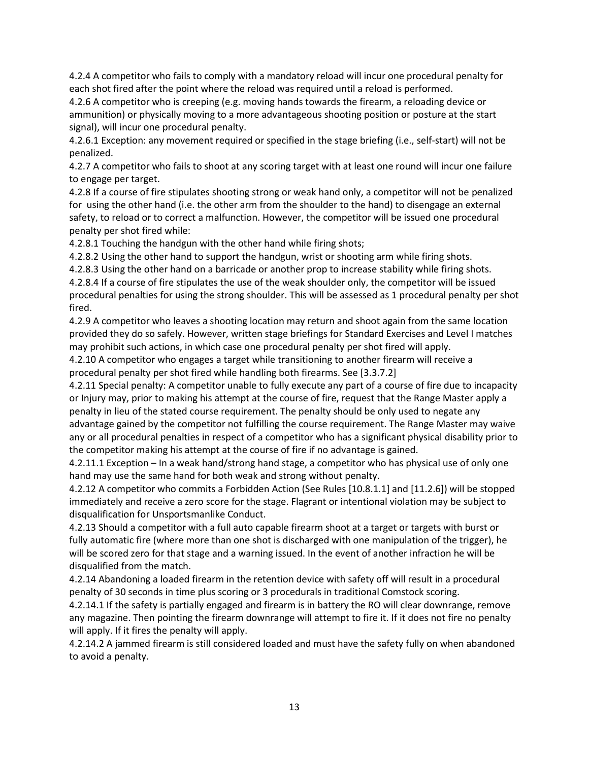4.2.4 A competitor who fails to comply with a mandatory reload will incur one procedural penalty for each shot fired after the point where the reload was required until a reload is performed.

4.2.6 A competitor who is creeping (e.g. moving hands towards the firearm, a reloading device or ammunition) or physically moving to a more advantageous shooting position or posture at the start signal), will incur one procedural penalty.

4.2.6.1 Exception: any movement required or specified in the stage briefing (i.e., self-start) will not be penalized.

4.2.7 A competitor who fails to shoot at any scoring target with at least one round will incur one failure to engage per target.

4.2.8 If a course of fire stipulates shooting strong or weak hand only, a competitor will not be penalized for using the other hand (i.e. the other arm from the shoulder to the hand) to disengage an external safety, to reload or to correct a malfunction. However, the competitor will be issued one procedural penalty per shot fired while:

4.2.8.1 Touching the handgun with the other hand while firing shots;

4.2.8.2 Using the other hand to support the handgun, wrist or shooting arm while firing shots.

4.2.8.3 Using the other hand on a barricade or another prop to increase stability while firing shots.

4.2.8.4 If a course of fire stipulates the use of the weak shoulder only, the competitor will be issued procedural penalties for using the strong shoulder. This will be assessed as 1 procedural penalty per shot fired.

4.2.9 A competitor who leaves a shooting location may return and shoot again from the same location provided they do so safely. However, written stage briefings for Standard Exercises and Level I matches may prohibit such actions, in which case one procedural penalty per shot fired will apply.

4.2.10 A competitor who engages a target while transitioning to another firearm will receive a procedural penalty per shot fired while handling both firearms. See [3.3.7.2]

4.2.11 Special penalty: A competitor unable to fully execute any part of a course of fire due to incapacity or Injury may, prior to making his attempt at the course of fire, request that the Range Master apply a penalty in lieu of the stated course requirement. The penalty should be only used to negate any advantage gained by the competitor not fulfilling the course requirement. The Range Master may waive any or all procedural penalties in respect of a competitor who has a significant physical disability prior to the competitor making his attempt at the course of fire if no advantage is gained.

4.2.11.1 Exception – In a weak hand/strong hand stage, a competitor who has physical use of only one hand may use the same hand for both weak and strong without penalty.

4.2.12 A competitor who commits a Forbidden Action (See Rules [10.8.1.1] and [11.2.6]) will be stopped immediately and receive a zero score for the stage. Flagrant or intentional violation may be subject to disqualification for Unsportsmanlike Conduct.

4.2.13 Should a competitor with a full auto capable firearm shoot at a target or targets with burst or fully automatic fire (where more than one shot is discharged with one manipulation of the trigger), he will be scored zero for that stage and a warning issued. In the event of another infraction he will be disqualified from the match.

4.2.14 Abandoning a loaded firearm in the retention device with safety off will result in a procedural penalty of 30 seconds in time plus scoring or 3 procedurals in traditional Comstock scoring.

4.2.14.1 If the safety is partially engaged and firearm is in battery the RO will clear downrange, remove any magazine. Then pointing the firearm downrange will attempt to fire it. If it does not fire no penalty will apply. If it fires the penalty will apply.

4.2.14.2 A jammed firearm is still considered loaded and must have the safety fully on when abandoned to avoid a penalty.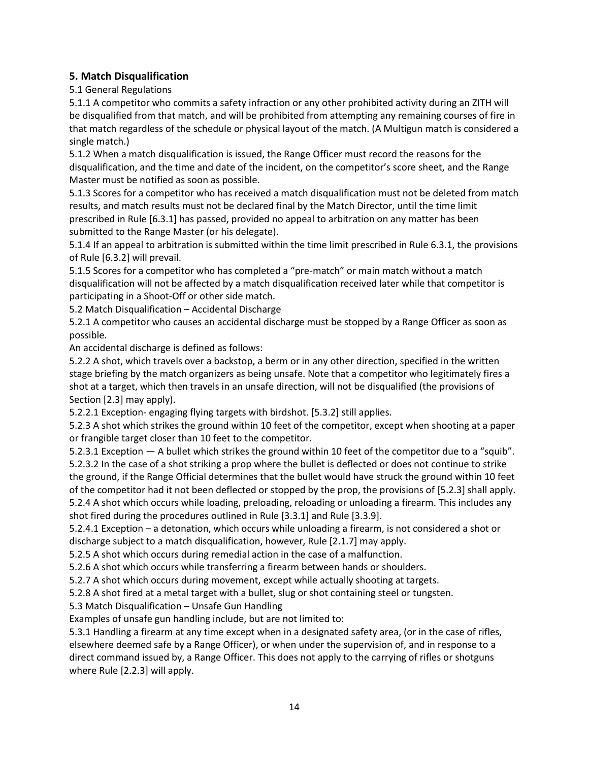# **5. Match Disqualification**

5.1 General Regulations

5.1.1 A competitor who commits a safety infraction or any other prohibited activity during an ZITH will be disqualified from that match, and will be prohibited from attempting any remaining courses of fire in that match regardless of the schedule or physical layout of the match. (A Multigun match is considered a single match.)

5.1.2 When a match disqualification is issued, the Range Officer must record the reasons for the disqualification, and the time and date of the incident, on the competitor's score sheet, and the Range Master must be notified as soon as possible.

5.1.3 Scores for a competitor who has received a match disqualification must not be deleted from match results, and match results must not be declared final by the Match Director, until the time limit prescribed in Rule [6.3.1] has passed, provided no appeal to arbitration on any matter has been submitted to the Range Master (or his delegate).

5.1.4 If an appeal to arbitration is submitted within the time limit prescribed in Rule 6.3.1, the provisions of Rule [6.3.2] will prevail.

5.1.5 Scores for a competitor who has completed a "pre-match" or main match without a match disqualification will not be affected by a match disqualification received later while that competitor is participating in a Shoot-Off or other side match.

5.2 Match Disqualification – Accidental Discharge

5.2.1 A competitor who causes an accidental discharge must be stopped by a Range Officer as soon as possible.

An accidental discharge is defined as follows:

5.2.2 A shot, which travels over a backstop, a berm or in any other direction, specified in the written stage briefing by the match organizers as being unsafe. Note that a competitor who legitimately fires a shot at a target, which then travels in an unsafe direction, will not be disqualified (the provisions of Section [2.3] may apply).

5.2.2.1 Exception- engaging flying targets with birdshot. [5.3.2] still applies.

5.2.3 A shot which strikes the ground within 10 feet of the competitor, except when shooting at a paper or frangible target closer than 10 feet to the competitor.

5.2.3.1 Exception — A bullet which strikes the ground within 10 feet of the competitor due to a "squib". 5.2.3.2 In the case of a shot striking a prop where the bullet is deflected or does not continue to strike the ground, if the Range Official determines that the bullet would have struck the ground within 10 feet of the competitor had it not been deflected or stopped by the prop, the provisions of [5.2.3] shall apply. 5.2.4 A shot which occurs while loading, preloading, reloading or unloading a firearm. This includes any shot fired during the procedures outlined in Rule [3.3.1] and Rule [3.3.9].

5.2.4.1 Exception – a detonation, which occurs while unloading a firearm, is not considered a shot or discharge subject to a match disqualification, however, Rule [2.1.7] may apply.

5.2.5 A shot which occurs during remedial action in the case of a malfunction.

5.2.6 A shot which occurs while transferring a firearm between hands or shoulders.

5.2.7 A shot which occurs during movement, except while actually shooting at targets.

5.2.8 A shot fired at a metal target with a bullet, slug or shot containing steel or tungsten.

5.3 Match Disqualification – Unsafe Gun Handling

Examples of unsafe gun handling include, but are not limited to:

5.3.1 Handling a firearm at any time except when in a designated safety area, (or in the case of rifles, elsewhere deemed safe by a Range Officer), or when under the supervision of, and in response to a direct command issued by, a Range Officer. This does not apply to the carrying of rifles or shotguns where Rule [2.2.3] will apply.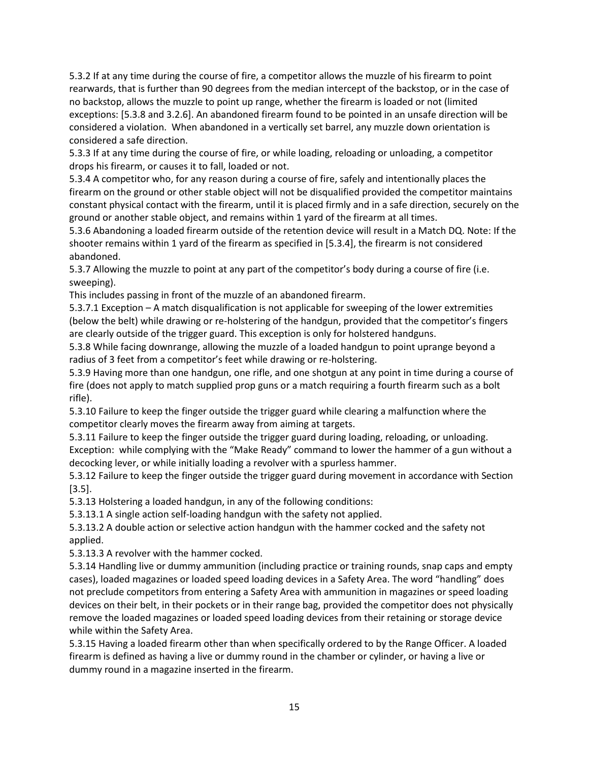5.3.2 If at any time during the course of fire, a competitor allows the muzzle of his firearm to point rearwards, that is further than 90 degrees from the median intercept of the backstop, or in the case of no backstop, allows the muzzle to point up range, whether the firearm is loaded or not (limited exceptions: [5.3.8 and 3.2.6]. An abandoned firearm found to be pointed in an unsafe direction will be considered a violation. When abandoned in a vertically set barrel, any muzzle down orientation is considered a safe direction.

5.3.3 If at any time during the course of fire, or while loading, reloading or unloading, a competitor drops his firearm, or causes it to fall, loaded or not.

5.3.4 A competitor who, for any reason during a course of fire, safely and intentionally places the firearm on the ground or other stable object will not be disqualified provided the competitor maintains constant physical contact with the firearm, until it is placed firmly and in a safe direction, securely on the ground or another stable object, and remains within 1 yard of the firearm at all times.

5.3.6 Abandoning a loaded firearm outside of the retention device will result in a Match DQ. Note: If the shooter remains within 1 yard of the firearm as specified in [5.3.4], the firearm is not considered abandoned.

5.3.7 Allowing the muzzle to point at any part of the competitor's body during a course of fire (i.e. sweeping).

This includes passing in front of the muzzle of an abandoned firearm.

5.3.7.1 Exception – A match disqualification is not applicable for sweeping of the lower extremities (below the belt) while drawing or re-holstering of the handgun, provided that the competitor's fingers are clearly outside of the trigger guard. This exception is only for holstered handguns.

5.3.8 While facing downrange, allowing the muzzle of a loaded handgun to point uprange beyond a radius of 3 feet from a competitor's feet while drawing or re-holstering.

5.3.9 Having more than one handgun, one rifle, and one shotgun at any point in time during a course of fire (does not apply to match supplied prop guns or a match requiring a fourth firearm such as a bolt rifle).

5.3.10 Failure to keep the finger outside the trigger guard while clearing a malfunction where the competitor clearly moves the firearm away from aiming at targets.

5.3.11 Failure to keep the finger outside the trigger guard during loading, reloading, or unloading. Exception: while complying with the "Make Ready" command to lower the hammer of a gun without a decocking lever, or while initially loading a revolver with a spurless hammer.

5.3.12 Failure to keep the finger outside the trigger guard during movement in accordance with Section [3.5].

5.3.13 Holstering a loaded handgun, in any of the following conditions:

5.3.13.1 A single action self-loading handgun with the safety not applied.

5.3.13.2 A double action or selective action handgun with the hammer cocked and the safety not applied.

5.3.13.3 A revolver with the hammer cocked.

5.3.14 Handling live or dummy ammunition (including practice or training rounds, snap caps and empty cases), loaded magazines or loaded speed loading devices in a Safety Area. The word "handling" does not preclude competitors from entering a Safety Area with ammunition in magazines or speed loading devices on their belt, in their pockets or in their range bag, provided the competitor does not physically remove the loaded magazines or loaded speed loading devices from their retaining or storage device while within the Safety Area.

5.3.15 Having a loaded firearm other than when specifically ordered to by the Range Officer. A loaded firearm is defined as having a live or dummy round in the chamber or cylinder, or having a live or dummy round in a magazine inserted in the firearm.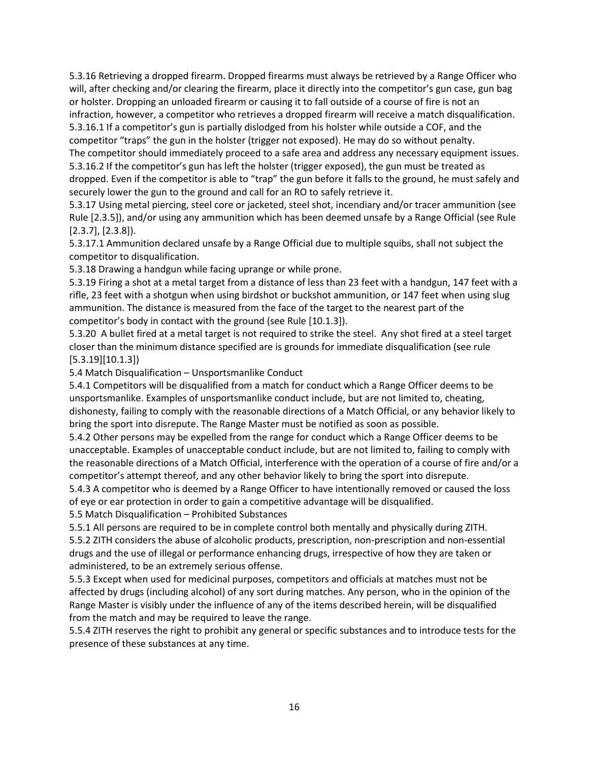5.3.16 Retrieving a dropped firearm. Dropped firearms must always be retrieved by a Range Officer who will, after checking and/or clearing the firearm, place it directly into the competitor's gun case, gun bag or holster. Dropping an unloaded firearm or causing it to fall outside of a course of fire is not an infraction, however, a competitor who retrieves a dropped firearm will receive a match disqualification. 5.3.16.1 If a competitor's gun is partially dislodged from his holster while outside a COF, and the competitor "traps" the gun in the holster (trigger not exposed). He may do so without penalty.

The competitor should immediately proceed to a safe area and address any necessary equipment issues. 5.3.16.2 If the competitor's gun has left the holster (trigger exposed), the gun must be treated as dropped. Even if the competitor is able to "trap" the gun before it falls to the ground, he must safely and securely lower the gun to the ground and call for an RO to safely retrieve it.

5.3.17 Using metal piercing, steel core or jacketed, steel shot, incendiary and/or tracer ammunition (see Rule [2.3.5]), and/or using any ammunition which has been deemed unsafe by a Range Official (see Rule [2.3.7], [2.3.8]).

5.3.17.1 Ammunition declared unsafe by a Range Official due to multiple squibs, shall not subject the competitor to disqualification.

5.3.18 Drawing a handgun while facing uprange or while prone.

5.3.19 Firing a shot at a metal target from a distance of less than 23 feet with a handgun, 147 feet with a rifle, 23 feet with a shotgun when using birdshot or buckshot ammunition, or 147 feet when using slug ammunition. The distance is measured from the face of the target to the nearest part of the competitor's body in contact with the ground (see Rule [10.1.3]).

5.3.20 A bullet fired at a metal target is not required to strike the steel. Any shot fired at a steel target closer than the minimum distance specified are is grounds for immediate disqualification (see rule [5.3.19][10.1.3])

5.4 Match Disqualification – Unsportsmanlike Conduct

5.4.1 Competitors will be disqualified from a match for conduct which a Range Officer deems to be unsportsmanlike. Examples of unsportsmanlike conduct include, but are not limited to, cheating, dishonesty, failing to comply with the reasonable directions of a Match Official, or any behavior likely to bring the sport into disrepute. The Range Master must be notified as soon as possible.

5.4.2 Other persons may be expelled from the range for conduct which a Range Officer deems to be unacceptable. Examples of unacceptable conduct include, but are not limited to, failing to comply with the reasonable directions of a Match Official, interference with the operation of a course of fire and/or a competitor's attempt thereof, and any other behavior likely to bring the sport into disrepute.

5.4.3 A competitor who is deemed by a Range Officer to have intentionally removed or caused the loss of eye or ear protection in order to gain a competitive advantage will be disqualified.

5.5 Match Disqualification – Prohibited Substances

5.5.1 All persons are required to be in complete control both mentally and physically during ZITH. 5.5.2 ZITH considers the abuse of alcoholic products, prescription, non-prescription and non-essential drugs and the use of illegal or performance enhancing drugs, irrespective of how they are taken or administered, to be an extremely serious offense.

5.5.3 Except when used for medicinal purposes, competitors and officials at matches must not be affected by drugs (including alcohol) of any sort during matches. Any person, who in the opinion of the Range Master is visibly under the influence of any of the items described herein, will be disqualified from the match and may be required to leave the range.

5.5.4 ZITH reserves the right to prohibit any general or specific substances and to introduce tests for the presence of these substances at any time.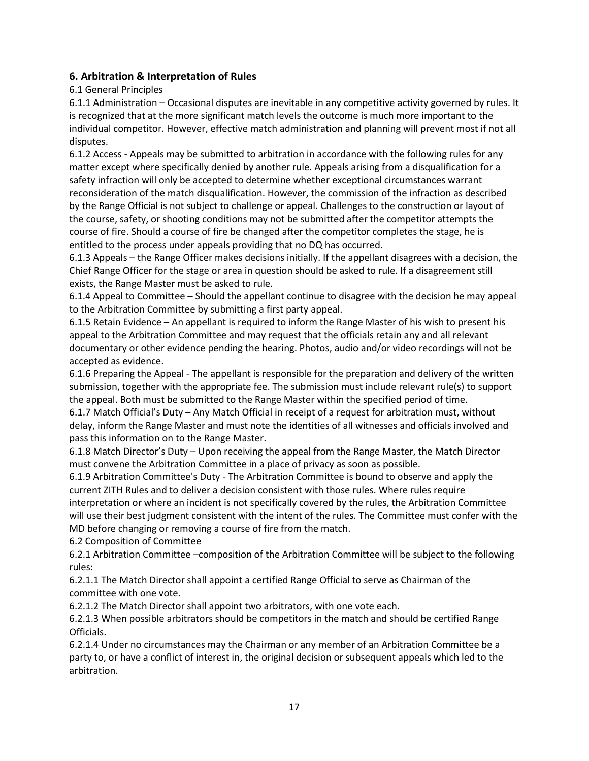# **6. Arbitration & Interpretation of Rules**

#### 6.1 General Principles

6.1.1 Administration – Occasional disputes are inevitable in any competitive activity governed by rules. It is recognized that at the more significant match levels the outcome is much more important to the individual competitor. However, effective match administration and planning will prevent most if not all disputes.

6.1.2 Access - Appeals may be submitted to arbitration in accordance with the following rules for any matter except where specifically denied by another rule. Appeals arising from a disqualification for a safety infraction will only be accepted to determine whether exceptional circumstances warrant reconsideration of the match disqualification. However, the commission of the infraction as described by the Range Official is not subject to challenge or appeal. Challenges to the construction or layout of the course, safety, or shooting conditions may not be submitted after the competitor attempts the course of fire. Should a course of fire be changed after the competitor completes the stage, he is entitled to the process under appeals providing that no DQ has occurred.

6.1.3 Appeals – the Range Officer makes decisions initially. If the appellant disagrees with a decision, the Chief Range Officer for the stage or area in question should be asked to rule. If a disagreement still exists, the Range Master must be asked to rule.

6.1.4 Appeal to Committee – Should the appellant continue to disagree with the decision he may appeal to the Arbitration Committee by submitting a first party appeal.

6.1.5 Retain Evidence – An appellant is required to inform the Range Master of his wish to present his appeal to the Arbitration Committee and may request that the officials retain any and all relevant documentary or other evidence pending the hearing. Photos, audio and/or video recordings will not be accepted as evidence.

6.1.6 Preparing the Appeal - The appellant is responsible for the preparation and delivery of the written submission, together with the appropriate fee. The submission must include relevant rule(s) to support the appeal. Both must be submitted to the Range Master within the specified period of time.

6.1.7 Match Official's Duty – Any Match Official in receipt of a request for arbitration must, without delay, inform the Range Master and must note the identities of all witnesses and officials involved and pass this information on to the Range Master.

6.1.8 Match Director's Duty – Upon receiving the appeal from the Range Master, the Match Director must convene the Arbitration Committee in a place of privacy as soon as possible.

6.1.9 Arbitration Committee's Duty - The Arbitration Committee is bound to observe and apply the current ZITH Rules and to deliver a decision consistent with those rules. Where rules require interpretation or where an incident is not specifically covered by the rules, the Arbitration Committee will use their best judgment consistent with the intent of the rules. The Committee must confer with the MD before changing or removing a course of fire from the match.

6.2 Composition of Committee

6.2.1 Arbitration Committee –composition of the Arbitration Committee will be subject to the following rules:

6.2.1.1 The Match Director shall appoint a certified Range Official to serve as Chairman of the committee with one vote.

6.2.1.2 The Match Director shall appoint two arbitrators, with one vote each.

6.2.1.3 When possible arbitrators should be competitors in the match and should be certified Range Officials.

6.2.1.4 Under no circumstances may the Chairman or any member of an Arbitration Committee be a party to, or have a conflict of interest in, the original decision or subsequent appeals which led to the arbitration.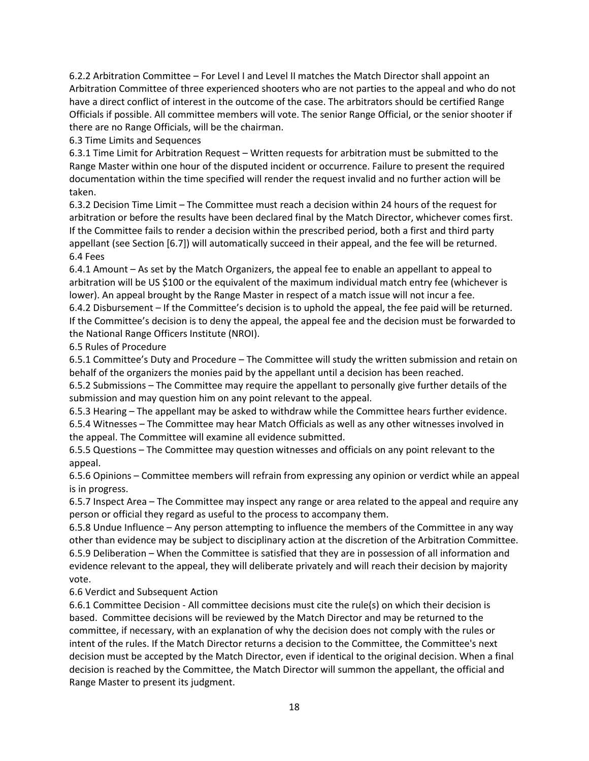6.2.2 Arbitration Committee – For Level I and Level II matches the Match Director shall appoint an Arbitration Committee of three experienced shooters who are not parties to the appeal and who do not have a direct conflict of interest in the outcome of the case. The arbitrators should be certified Range Officials if possible. All committee members will vote. The senior Range Official, or the senior shooter if there are no Range Officials, will be the chairman.

6.3 Time Limits and Sequences

6.3.1 Time Limit for Arbitration Request – Written requests for arbitration must be submitted to the Range Master within one hour of the disputed incident or occurrence. Failure to present the required documentation within the time specified will render the request invalid and no further action will be taken.

6.3.2 Decision Time Limit – The Committee must reach a decision within 24 hours of the request for arbitration or before the results have been declared final by the Match Director, whichever comes first. If the Committee fails to render a decision within the prescribed period, both a first and third party appellant (see Section [6.7]) will automatically succeed in their appeal, and the fee will be returned. 6.4 Fees

6.4.1 Amount – As set by the Match Organizers, the appeal fee to enable an appellant to appeal to arbitration will be US \$100 or the equivalent of the maximum individual match entry fee (whichever is lower). An appeal brought by the Range Master in respect of a match issue will not incur a fee.

6.4.2 Disbursement – If the Committee's decision is to uphold the appeal, the fee paid will be returned. If the Committee's decision is to deny the appeal, the appeal fee and the decision must be forwarded to the National Range Officers Institute (NROI).

6.5 Rules of Procedure

6.5.1 Committee's Duty and Procedure – The Committee will study the written submission and retain on behalf of the organizers the monies paid by the appellant until a decision has been reached.

6.5.2 Submissions – The Committee may require the appellant to personally give further details of the submission and may question him on any point relevant to the appeal.

6.5.3 Hearing – The appellant may be asked to withdraw while the Committee hears further evidence. 6.5.4 Witnesses – The Committee may hear Match Officials as well as any other witnesses involved in the appeal. The Committee will examine all evidence submitted.

6.5.5 Questions – The Committee may question witnesses and officials on any point relevant to the appeal.

6.5.6 Opinions – Committee members will refrain from expressing any opinion or verdict while an appeal is in progress.

6.5.7 Inspect Area – The Committee may inspect any range or area related to the appeal and require any person or official they regard as useful to the process to accompany them.

6.5.8 Undue Influence – Any person attempting to influence the members of the Committee in any way other than evidence may be subject to disciplinary action at the discretion of the Arbitration Committee. 6.5.9 Deliberation – When the Committee is satisfied that they are in possession of all information and evidence relevant to the appeal, they will deliberate privately and will reach their decision by majority vote.

6.6 Verdict and Subsequent Action

6.6.1 Committee Decision - All committee decisions must cite the rule(s) on which their decision is based. Committee decisions will be reviewed by the Match Director and may be returned to the committee, if necessary, with an explanation of why the decision does not comply with the rules or intent of the rules. If the Match Director returns a decision to the Committee, the Committee's next decision must be accepted by the Match Director, even if identical to the original decision. When a final decision is reached by the Committee, the Match Director will summon the appellant, the official and Range Master to present its judgment.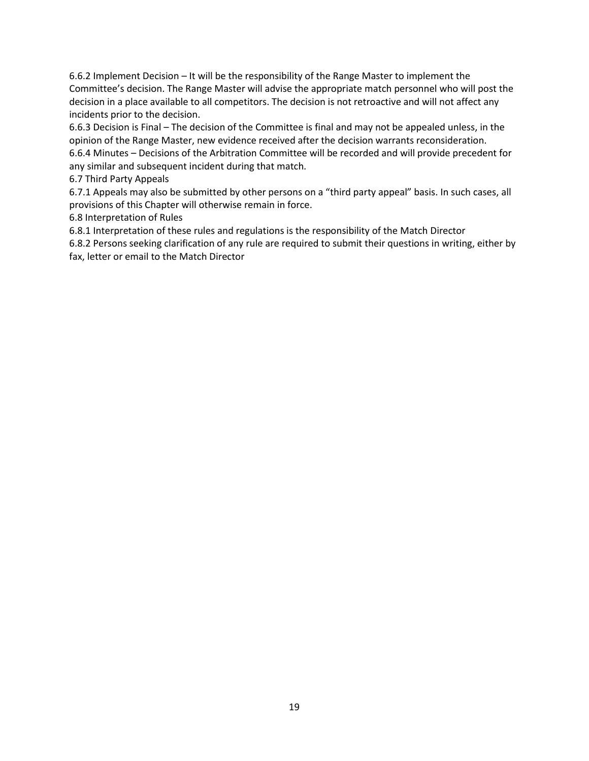6.6.2 Implement Decision – It will be the responsibility of the Range Master to implement the Committee's decision. The Range Master will advise the appropriate match personnel who will post the decision in a place available to all competitors. The decision is not retroactive and will not affect any incidents prior to the decision.

6.6.3 Decision is Final – The decision of the Committee is final and may not be appealed unless, in the opinion of the Range Master, new evidence received after the decision warrants reconsideration. 6.6.4 Minutes – Decisions of the Arbitration Committee will be recorded and will provide precedent for any similar and subsequent incident during that match.

6.7 Third Party Appeals

6.7.1 Appeals may also be submitted by other persons on a "third party appeal" basis. In such cases, all provisions of this Chapter will otherwise remain in force.

6.8 Interpretation of Rules

6.8.1 Interpretation of these rules and regulations is the responsibility of the Match Director

6.8.2 Persons seeking clarification of any rule are required to submit their questions in writing, either by fax, letter or email to the Match Director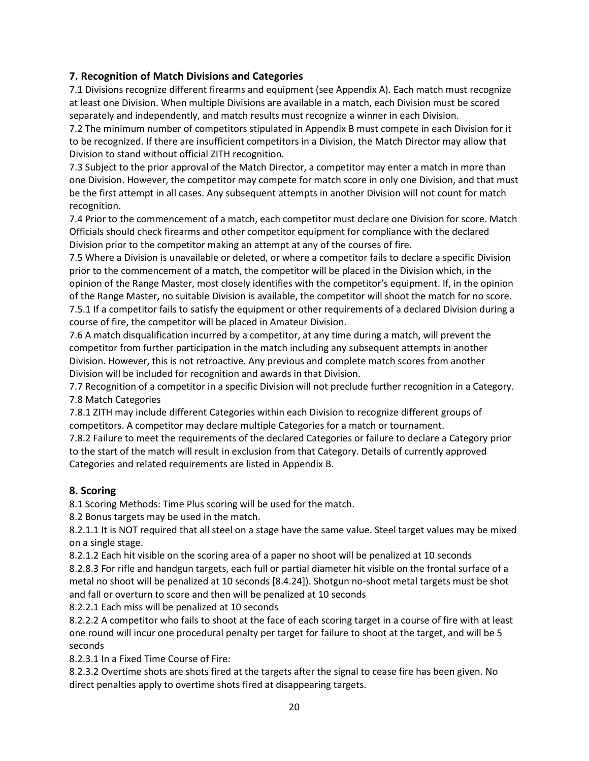# **7. Recognition of Match Divisions and Categories**

7.1 Divisions recognize different firearms and equipment (see Appendix A). Each match must recognize at least one Division. When multiple Divisions are available in a match, each Division must be scored separately and independently, and match results must recognize a winner in each Division.

7.2 The minimum number of competitors stipulated in Appendix B must compete in each Division for it to be recognized. If there are insufficient competitors in a Division, the Match Director may allow that Division to stand without official ZITH recognition.

7.3 Subject to the prior approval of the Match Director, a competitor may enter a match in more than one Division. However, the competitor may compete for match score in only one Division, and that must be the first attempt in all cases. Any subsequent attempts in another Division will not count for match recognition.

7.4 Prior to the commencement of a match, each competitor must declare one Division for score. Match Officials should check firearms and other competitor equipment for compliance with the declared Division prior to the competitor making an attempt at any of the courses of fire.

7.5 Where a Division is unavailable or deleted, or where a competitor fails to declare a specific Division prior to the commencement of a match, the competitor will be placed in the Division which, in the opinion of the Range Master, most closely identifies with the competitor's equipment. If, in the opinion of the Range Master, no suitable Division is available, the competitor will shoot the match for no score. 7.5.1 If a competitor fails to satisfy the equipment or other requirements of a declared Division during a course of fire, the competitor will be placed in Amateur Division.

7.6 A match disqualification incurred by a competitor, at any time during a match, will prevent the competitor from further participation in the match including any subsequent attempts in another Division. However, this is not retroactive. Any previous and complete match scores from another Division will be included for recognition and awards in that Division.

7.7 Recognition of a competitor in a specific Division will not preclude further recognition in a Category. 7.8 Match Categories

7.8.1 ZITH may include different Categories within each Division to recognize different groups of competitors. A competitor may declare multiple Categories for a match or tournament.

7.8.2 Failure to meet the requirements of the declared Categories or failure to declare a Category prior to the start of the match will result in exclusion from that Category. Details of currently approved Categories and related requirements are listed in Appendix B.

#### **8. Scoring**

8.1 Scoring Methods: Time Plus scoring will be used for the match.

8.2 Bonus targets may be used in the match.

8.2.1.1 It is NOT required that all steel on a stage have the same value. Steel target values may be mixed on a single stage.

8.2.1.2 Each hit visible on the scoring area of a paper no shoot will be penalized at 10 seconds 8.2.8.3 For rifle and handgun targets, each full or partial diameter hit visible on the frontal surface of a metal no shoot will be penalized at 10 seconds [8.4.24]). Shotgun no-shoot metal targets must be shot and fall or overturn to score and then will be penalized at 10 seconds

8.2.2.1 Each miss will be penalized at 10 seconds

8.2.2.2 A competitor who fails to shoot at the face of each scoring target in a course of fire with at least one round will incur one procedural penalty per target for failure to shoot at the target, and will be 5 seconds

8.2.3.1 In a Fixed Time Course of Fire:

8.2.3.2 Overtime shots are shots fired at the targets after the signal to cease fire has been given. No direct penalties apply to overtime shots fired at disappearing targets.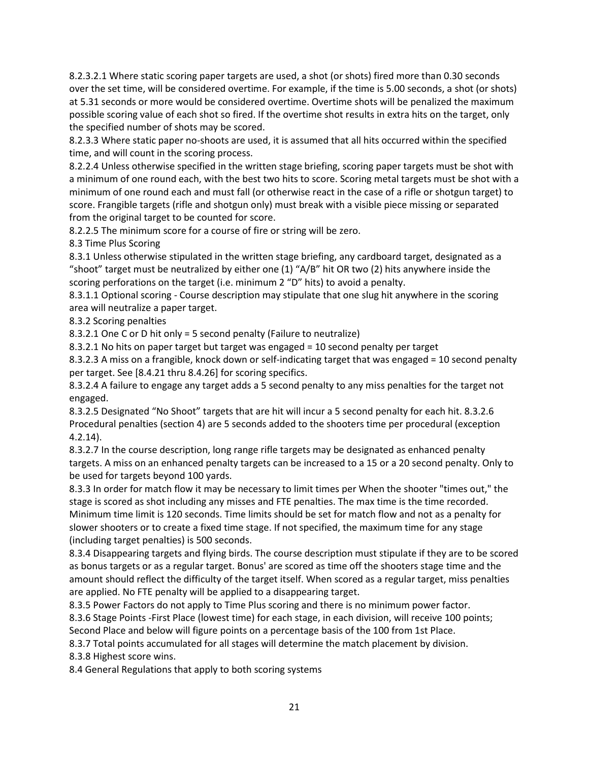8.2.3.2.1 Where static scoring paper targets are used, a shot (or shots) fired more than 0.30 seconds over the set time, will be considered overtime. For example, if the time is 5.00 seconds, a shot (or shots) at 5.31 seconds or more would be considered overtime. Overtime shots will be penalized the maximum possible scoring value of each shot so fired. If the overtime shot results in extra hits on the target, only the specified number of shots may be scored.

8.2.3.3 Where static paper no-shoots are used, it is assumed that all hits occurred within the specified time, and will count in the scoring process.

8.2.2.4 Unless otherwise specified in the written stage briefing, scoring paper targets must be shot with a minimum of one round each, with the best two hits to score. Scoring metal targets must be shot with a minimum of one round each and must fall (or otherwise react in the case of a rifle or shotgun target) to score. Frangible targets (rifle and shotgun only) must break with a visible piece missing or separated from the original target to be counted for score.

8.2.2.5 The minimum score for a course of fire or string will be zero.

8.3 Time Plus Scoring

8.3.1 Unless otherwise stipulated in the written stage briefing, any cardboard target, designated as a "shoot" target must be neutralized by either one (1) "A/B" hit OR two (2) hits anywhere inside the scoring perforations on the target (i.e. minimum 2 "D" hits) to avoid a penalty.

8.3.1.1 Optional scoring - Course description may stipulate that one slug hit anywhere in the scoring area will neutralize a paper target.

8.3.2 Scoring penalties

8.3.2.1 One C or D hit only = 5 second penalty (Failure to neutralize)

8.3.2.1 No hits on paper target but target was engaged = 10 second penalty per target

8.3.2.3 A miss on a frangible, knock down or self-indicating target that was engaged = 10 second penalty per target. See [8.4.21 thru 8.4.26] for scoring specifics.

8.3.2.4 A failure to engage any target adds a 5 second penalty to any miss penalties for the target not engaged.

8.3.2.5 Designated "No Shoot" targets that are hit will incur a 5 second penalty for each hit. 8.3.2.6 Procedural penalties (section 4) are 5 seconds added to the shooters time per procedural (exception 4.2.14).

8.3.2.7 In the course description, long range rifle targets may be designated as enhanced penalty targets. A miss on an enhanced penalty targets can be increased to a 15 or a 20 second penalty. Only to be used for targets beyond 100 yards.

8.3.3 In order for match flow it may be necessary to limit times per When the shooter "times out," the stage is scored as shot including any misses and FTE penalties. The max time is the time recorded. Minimum time limit is 120 seconds. Time limits should be set for match flow and not as a penalty for slower shooters or to create a fixed time stage. If not specified, the maximum time for any stage (including target penalties) is 500 seconds.

8.3.4 Disappearing targets and flying birds. The course description must stipulate if they are to be scored as bonus targets or as a regular target. Bonus' are scored as time off the shooters stage time and the amount should reflect the difficulty of the target itself. When scored as a regular target, miss penalties are applied. No FTE penalty will be applied to a disappearing target.

8.3.5 Power Factors do not apply to Time Plus scoring and there is no minimum power factor.

8.3.6 Stage Points -First Place (lowest time) for each stage, in each division, will receive 100 points;

Second Place and below will figure points on a percentage basis of the 100 from 1st Place.

8.3.7 Total points accumulated for all stages will determine the match placement by division.

8.3.8 Highest score wins.

8.4 General Regulations that apply to both scoring systems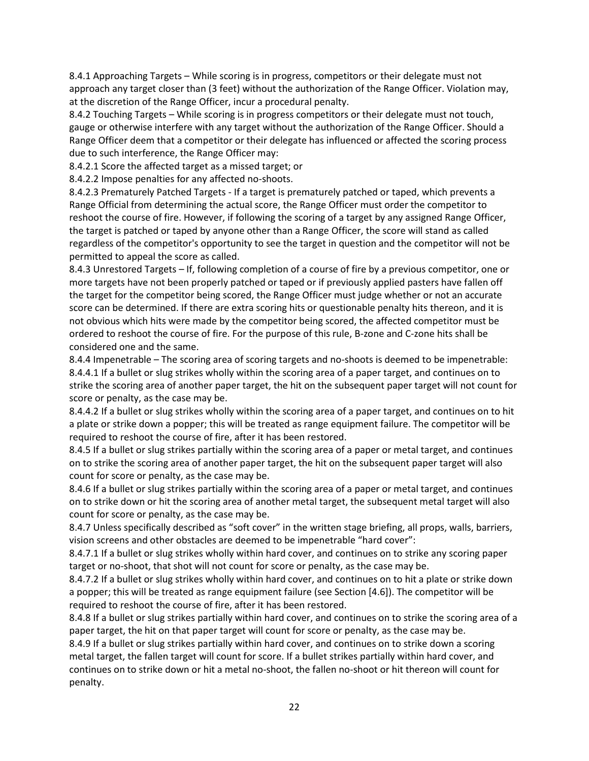8.4.1 Approaching Targets – While scoring is in progress, competitors or their delegate must not approach any target closer than (3 feet) without the authorization of the Range Officer. Violation may, at the discretion of the Range Officer, incur a procedural penalty.

8.4.2 Touching Targets – While scoring is in progress competitors or their delegate must not touch, gauge or otherwise interfere with any target without the authorization of the Range Officer. Should a Range Officer deem that a competitor or their delegate has influenced or affected the scoring process due to such interference, the Range Officer may:

8.4.2.1 Score the affected target as a missed target; or

8.4.2.2 Impose penalties for any affected no-shoots.

8.4.2.3 Prematurely Patched Targets - If a target is prematurely patched or taped, which prevents a Range Official from determining the actual score, the Range Officer must order the competitor to reshoot the course of fire. However, if following the scoring of a target by any assigned Range Officer, the target is patched or taped by anyone other than a Range Officer, the score will stand as called regardless of the competitor's opportunity to see the target in question and the competitor will not be permitted to appeal the score as called.

8.4.3 Unrestored Targets – If, following completion of a course of fire by a previous competitor, one or more targets have not been properly patched or taped or if previously applied pasters have fallen off the target for the competitor being scored, the Range Officer must judge whether or not an accurate score can be determined. If there are extra scoring hits or questionable penalty hits thereon, and it is not obvious which hits were made by the competitor being scored, the affected competitor must be ordered to reshoot the course of fire. For the purpose of this rule, B-zone and C-zone hits shall be considered one and the same.

8.4.4 Impenetrable – The scoring area of scoring targets and no-shoots is deemed to be impenetrable: 8.4.4.1 If a bullet or slug strikes wholly within the scoring area of a paper target, and continues on to strike the scoring area of another paper target, the hit on the subsequent paper target will not count for score or penalty, as the case may be.

8.4.4.2 If a bullet or slug strikes wholly within the scoring area of a paper target, and continues on to hit a plate or strike down a popper; this will be treated as range equipment failure. The competitor will be required to reshoot the course of fire, after it has been restored.

8.4.5 If a bullet or slug strikes partially within the scoring area of a paper or metal target, and continues on to strike the scoring area of another paper target, the hit on the subsequent paper target will also count for score or penalty, as the case may be.

8.4.6 If a bullet or slug strikes partially within the scoring area of a paper or metal target, and continues on to strike down or hit the scoring area of another metal target, the subsequent metal target will also count for score or penalty, as the case may be.

8.4.7 Unless specifically described as "soft cover" in the written stage briefing, all props, walls, barriers, vision screens and other obstacles are deemed to be impenetrable "hard cover":

8.4.7.1 If a bullet or slug strikes wholly within hard cover, and continues on to strike any scoring paper target or no-shoot, that shot will not count for score or penalty, as the case may be.

8.4.7.2 If a bullet or slug strikes wholly within hard cover, and continues on to hit a plate or strike down a popper; this will be treated as range equipment failure (see Section [4.6]). The competitor will be required to reshoot the course of fire, after it has been restored.

8.4.8 If a bullet or slug strikes partially within hard cover, and continues on to strike the scoring area of a paper target, the hit on that paper target will count for score or penalty, as the case may be.

8.4.9 If a bullet or slug strikes partially within hard cover, and continues on to strike down a scoring metal target, the fallen target will count for score. If a bullet strikes partially within hard cover, and continues on to strike down or hit a metal no-shoot, the fallen no-shoot or hit thereon will count for penalty.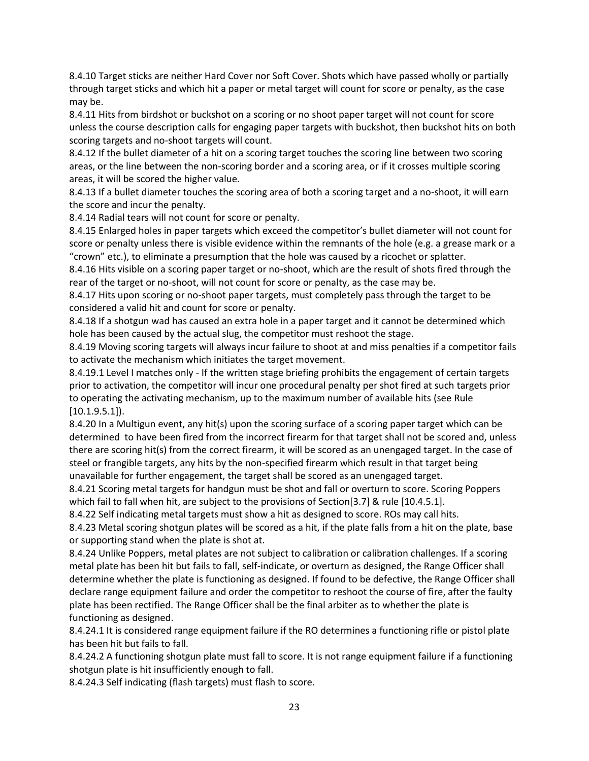8.4.10 Target sticks are neither Hard Cover nor Soft Cover. Shots which have passed wholly or partially through target sticks and which hit a paper or metal target will count for score or penalty, as the case may be.

8.4.11 Hits from birdshot or buckshot on a scoring or no shoot paper target will not count for score unless the course description calls for engaging paper targets with buckshot, then buckshot hits on both scoring targets and no-shoot targets will count.

8.4.12 If the bullet diameter of a hit on a scoring target touches the scoring line between two scoring areas, or the line between the non-scoring border and a scoring area, or if it crosses multiple scoring areas, it will be scored the higher value.

8.4.13 If a bullet diameter touches the scoring area of both a scoring target and a no-shoot, it will earn the score and incur the penalty.

8.4.14 Radial tears will not count for score or penalty.

8.4.15 Enlarged holes in paper targets which exceed the competitor's bullet diameter will not count for score or penalty unless there is visible evidence within the remnants of the hole (e.g. a grease mark or a "crown" etc.), to eliminate a presumption that the hole was caused by a ricochet or splatter.

8.4.16 Hits visible on a scoring paper target or no-shoot, which are the result of shots fired through the rear of the target or no-shoot, will not count for score or penalty, as the case may be.

8.4.17 Hits upon scoring or no-shoot paper targets, must completely pass through the target to be considered a valid hit and count for score or penalty.

8.4.18 If a shotgun wad has caused an extra hole in a paper target and it cannot be determined which hole has been caused by the actual slug, the competitor must reshoot the stage.

8.4.19 Moving scoring targets will always incur failure to shoot at and miss penalties if a competitor fails to activate the mechanism which initiates the target movement.

8.4.19.1 Level I matches only - If the written stage briefing prohibits the engagement of certain targets prior to activation, the competitor will incur one procedural penalty per shot fired at such targets prior to operating the activating mechanism, up to the maximum number of available hits (see Rule [10.1.9.5.1]).

8.4.20 In a Multigun event, any hit(s) upon the scoring surface of a scoring paper target which can be determined to have been fired from the incorrect firearm for that target shall not be scored and, unless there are scoring hit(s) from the correct firearm, it will be scored as an unengaged target. In the case of steel or frangible targets, any hits by the non-specified firearm which result in that target being unavailable for further engagement, the target shall be scored as an unengaged target.

8.4.21 Scoring metal targets for handgun must be shot and fall or overturn to score. Scoring Poppers which fail to fall when hit, are subject to the provisions of Section[3.7] & rule [10.4.5.1].

8.4.22 Self indicating metal targets must show a hit as designed to score. ROs may call hits.

8.4.23 Metal scoring shotgun plates will be scored as a hit, if the plate falls from a hit on the plate, base or supporting stand when the plate is shot at.

8.4.24 Unlike Poppers, metal plates are not subject to calibration or calibration challenges. If a scoring metal plate has been hit but fails to fall, self-indicate, or overturn as designed, the Range Officer shall determine whether the plate is functioning as designed. If found to be defective, the Range Officer shall declare range equipment failure and order the competitor to reshoot the course of fire, after the faulty plate has been rectified. The Range Officer shall be the final arbiter as to whether the plate is functioning as designed.

8.4.24.1 It is considered range equipment failure if the RO determines a functioning rifle or pistol plate has been hit but fails to fall.

8.4.24.2 A functioning shotgun plate must fall to score. It is not range equipment failure if a functioning shotgun plate is hit insufficiently enough to fall.

8.4.24.3 Self indicating (flash targets) must flash to score.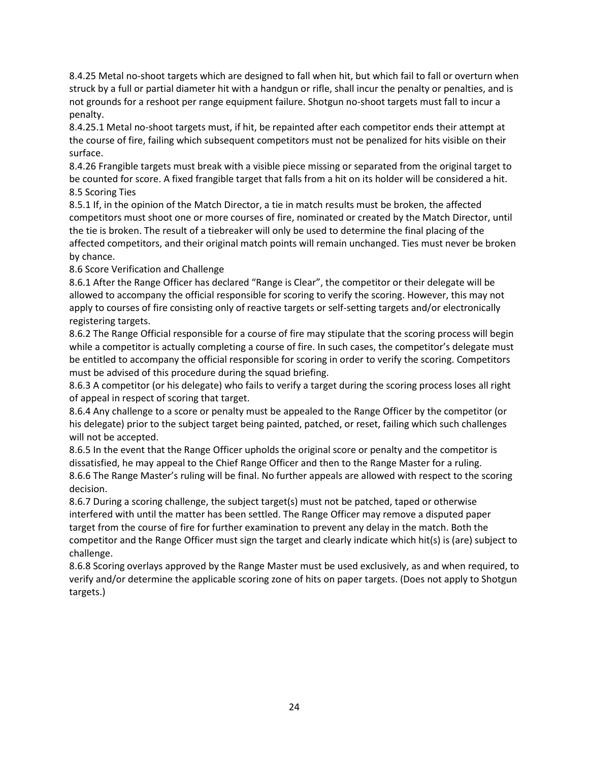8.4.25 Metal no-shoot targets which are designed to fall when hit, but which fail to fall or overturn when struck by a full or partial diameter hit with a handgun or rifle, shall incur the penalty or penalties, and is not grounds for a reshoot per range equipment failure. Shotgun no-shoot targets must fall to incur a penalty.

8.4.25.1 Metal no-shoot targets must, if hit, be repainted after each competitor ends their attempt at the course of fire, failing which subsequent competitors must not be penalized for hits visible on their surface.

8.4.26 Frangible targets must break with a visible piece missing or separated from the original target to be counted for score. A fixed frangible target that falls from a hit on its holder will be considered a hit. 8.5 Scoring Ties

8.5.1 If, in the opinion of the Match Director, a tie in match results must be broken, the affected competitors must shoot one or more courses of fire, nominated or created by the Match Director, until the tie is broken. The result of a tiebreaker will only be used to determine the final placing of the affected competitors, and their original match points will remain unchanged. Ties must never be broken by chance.

8.6 Score Verification and Challenge

8.6.1 After the Range Officer has declared "Range is Clear", the competitor or their delegate will be allowed to accompany the official responsible for scoring to verify the scoring. However, this may not apply to courses of fire consisting only of reactive targets or self-setting targets and/or electronically registering targets.

8.6.2 The Range Official responsible for a course of fire may stipulate that the scoring process will begin while a competitor is actually completing a course of fire. In such cases, the competitor's delegate must be entitled to accompany the official responsible for scoring in order to verify the scoring. Competitors must be advised of this procedure during the squad briefing.

8.6.3 A competitor (or his delegate) who fails to verify a target during the scoring process loses all right of appeal in respect of scoring that target.

8.6.4 Any challenge to a score or penalty must be appealed to the Range Officer by the competitor (or his delegate) prior to the subject target being painted, patched, or reset, failing which such challenges will not be accepted.

8.6.5 In the event that the Range Officer upholds the original score or penalty and the competitor is dissatisfied, he may appeal to the Chief Range Officer and then to the Range Master for a ruling. 8.6.6 The Range Master's ruling will be final. No further appeals are allowed with respect to the scoring decision.

8.6.7 During a scoring challenge, the subject target(s) must not be patched, taped or otherwise interfered with until the matter has been settled. The Range Officer may remove a disputed paper target from the course of fire for further examination to prevent any delay in the match. Both the competitor and the Range Officer must sign the target and clearly indicate which hit(s) is (are) subject to challenge.

8.6.8 Scoring overlays approved by the Range Master must be used exclusively, as and when required, to verify and/or determine the applicable scoring zone of hits on paper targets. (Does not apply to Shotgun targets.)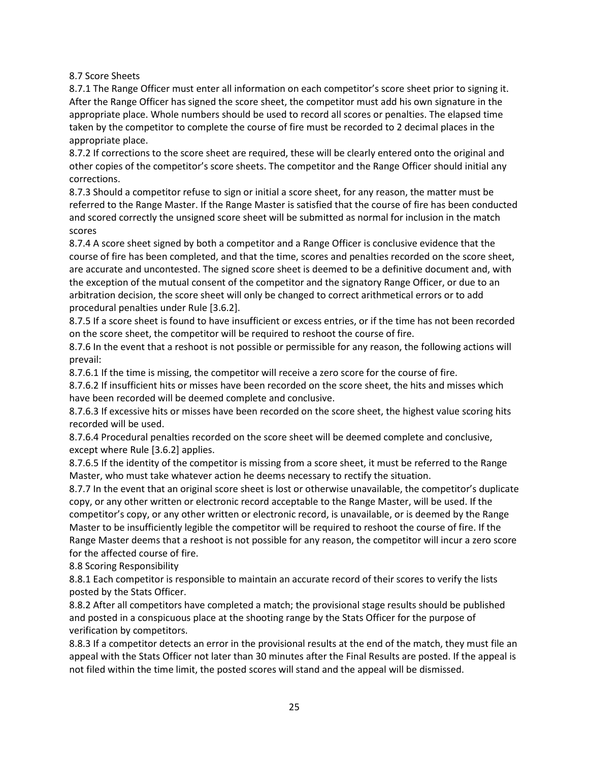8.7 Score Sheets

8.7.1 The Range Officer must enter all information on each competitor's score sheet prior to signing it. After the Range Officer has signed the score sheet, the competitor must add his own signature in the appropriate place. Whole numbers should be used to record all scores or penalties. The elapsed time taken by the competitor to complete the course of fire must be recorded to 2 decimal places in the appropriate place.

8.7.2 If corrections to the score sheet are required, these will be clearly entered onto the original and other copies of the competitor's score sheets. The competitor and the Range Officer should initial any corrections.

8.7.3 Should a competitor refuse to sign or initial a score sheet, for any reason, the matter must be referred to the Range Master. If the Range Master is satisfied that the course of fire has been conducted and scored correctly the unsigned score sheet will be submitted as normal for inclusion in the match scores

8.7.4 A score sheet signed by both a competitor and a Range Officer is conclusive evidence that the course of fire has been completed, and that the time, scores and penalties recorded on the score sheet, are accurate and uncontested. The signed score sheet is deemed to be a definitive document and, with the exception of the mutual consent of the competitor and the signatory Range Officer, or due to an arbitration decision, the score sheet will only be changed to correct arithmetical errors or to add procedural penalties under Rule [3.6.2].

8.7.5 If a score sheet is found to have insufficient or excess entries, or if the time has not been recorded on the score sheet, the competitor will be required to reshoot the course of fire.

8.7.6 In the event that a reshoot is not possible or permissible for any reason, the following actions will prevail:

8.7.6.1 If the time is missing, the competitor will receive a zero score for the course of fire.

8.7.6.2 If insufficient hits or misses have been recorded on the score sheet, the hits and misses which have been recorded will be deemed complete and conclusive.

8.7.6.3 If excessive hits or misses have been recorded on the score sheet, the highest value scoring hits recorded will be used.

8.7.6.4 Procedural penalties recorded on the score sheet will be deemed complete and conclusive, except where Rule [3.6.2] applies.

8.7.6.5 If the identity of the competitor is missing from a score sheet, it must be referred to the Range Master, who must take whatever action he deems necessary to rectify the situation.

8.7.7 In the event that an original score sheet is lost or otherwise unavailable, the competitor's duplicate copy, or any other written or electronic record acceptable to the Range Master, will be used. If the competitor's copy, or any other written or electronic record, is unavailable, or is deemed by the Range Master to be insufficiently legible the competitor will be required to reshoot the course of fire. If the Range Master deems that a reshoot is not possible for any reason, the competitor will incur a zero score for the affected course of fire.

8.8 Scoring Responsibility

8.8.1 Each competitor is responsible to maintain an accurate record of their scores to verify the lists posted by the Stats Officer.

8.8.2 After all competitors have completed a match; the provisional stage results should be published and posted in a conspicuous place at the shooting range by the Stats Officer for the purpose of verification by competitors.

8.8.3 If a competitor detects an error in the provisional results at the end of the match, they must file an appeal with the Stats Officer not later than 30 minutes after the Final Results are posted. If the appeal is not filed within the time limit, the posted scores will stand and the appeal will be dismissed.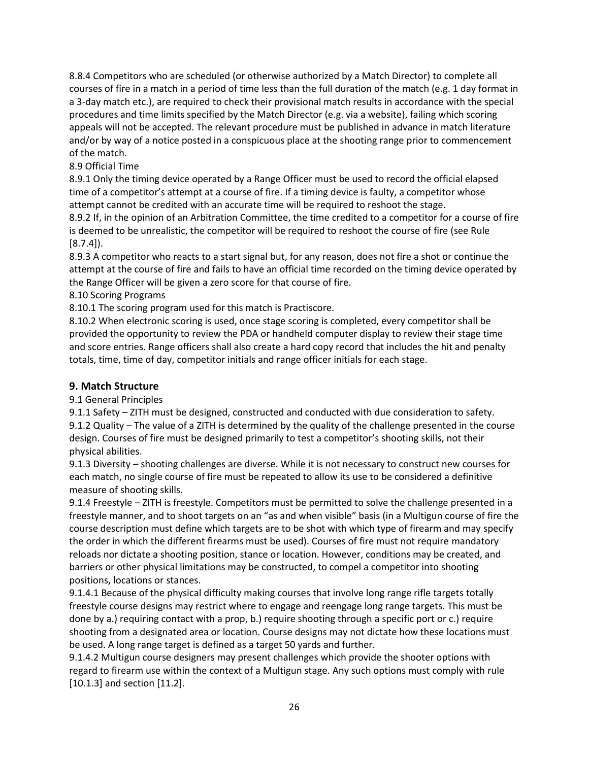8.8.4 Competitors who are scheduled (or otherwise authorized by a Match Director) to complete all courses of fire in a match in a period of time less than the full duration of the match (e.g. 1 day format in a 3-day match etc.), are required to check their provisional match results in accordance with the special procedures and time limits specified by the Match Director (e.g. via a website), failing which scoring appeals will not be accepted. The relevant procedure must be published in advance in match literature and/or by way of a notice posted in a conspicuous place at the shooting range prior to commencement of the match.

#### 8.9 Official Time

8.9.1 Only the timing device operated by a Range Officer must be used to record the official elapsed time of a competitor's attempt at a course of fire. If a timing device is faulty, a competitor whose attempt cannot be credited with an accurate time will be required to reshoot the stage.

8.9.2 If, in the opinion of an Arbitration Committee, the time credited to a competitor for a course of fire is deemed to be unrealistic, the competitor will be required to reshoot the course of fire (see Rule  $[8.7.4]$ .

8.9.3 A competitor who reacts to a start signal but, for any reason, does not fire a shot or continue the attempt at the course of fire and fails to have an official time recorded on the timing device operated by the Range Officer will be given a zero score for that course of fire.

8.10 Scoring Programs

8.10.1 The scoring program used for this match is Practiscore.

8.10.2 When electronic scoring is used, once stage scoring is completed, every competitor shall be provided the opportunity to review the PDA or handheld computer display to review their stage time and score entries. Range officers shall also create a hard copy record that includes the hit and penalty totals, time, time of day, competitor initials and range officer initials for each stage.

#### **9. Match Structure**

9.1 General Principles

9.1.1 Safety – ZITH must be designed, constructed and conducted with due consideration to safety. 9.1.2 Quality – The value of a ZITH is determined by the quality of the challenge presented in the course design. Courses of fire must be designed primarily to test a competitor's shooting skills, not their physical abilities.

9.1.3 Diversity – shooting challenges are diverse. While it is not necessary to construct new courses for each match, no single course of fire must be repeated to allow its use to be considered a definitive measure of shooting skills.

9.1.4 Freestyle – ZITH is freestyle. Competitors must be permitted to solve the challenge presented in a freestyle manner, and to shoot targets on an "as and when visible" basis (in a Multigun course of fire the course description must define which targets are to be shot with which type of firearm and may specify the order in which the different firearms must be used). Courses of fire must not require mandatory reloads nor dictate a shooting position, stance or location. However, conditions may be created, and barriers or other physical limitations may be constructed, to compel a competitor into shooting positions, locations or stances.

9.1.4.1 Because of the physical difficulty making courses that involve long range rifle targets totally freestyle course designs may restrict where to engage and reengage long range targets. This must be done by a.) requiring contact with a prop, b.) require shooting through a specific port or c.) require shooting from a designated area or location. Course designs may not dictate how these locations must be used. A long range target is defined as a target 50 yards and further.

9.1.4.2 Multigun course designers may present challenges which provide the shooter options with regard to firearm use within the context of a Multigun stage. Any such options must comply with rule [10.1.3] and section [11.2].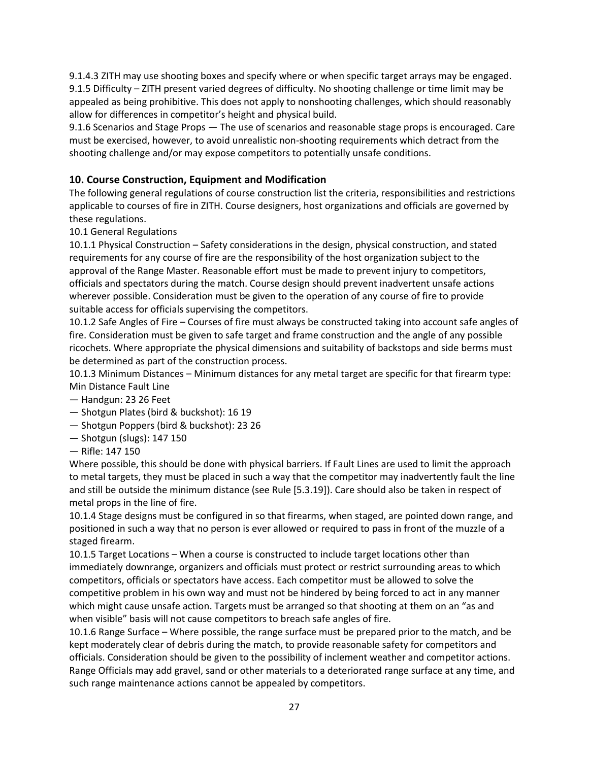9.1.4.3 ZITH may use shooting boxes and specify where or when specific target arrays may be engaged. 9.1.5 Difficulty – ZITH present varied degrees of difficulty. No shooting challenge or time limit may be appealed as being prohibitive. This does not apply to nonshooting challenges, which should reasonably allow for differences in competitor's height and physical build.

9.1.6 Scenarios and Stage Props — The use of scenarios and reasonable stage props is encouraged. Care must be exercised, however, to avoid unrealistic non-shooting requirements which detract from the shooting challenge and/or may expose competitors to potentially unsafe conditions.

# **10. Course Construction, Equipment and Modification**

The following general regulations of course construction list the criteria, responsibilities and restrictions applicable to courses of fire in ZITH. Course designers, host organizations and officials are governed by these regulations.

10.1 General Regulations

10.1.1 Physical Construction – Safety considerations in the design, physical construction, and stated requirements for any course of fire are the responsibility of the host organization subject to the approval of the Range Master. Reasonable effort must be made to prevent injury to competitors, officials and spectators during the match. Course design should prevent inadvertent unsafe actions wherever possible. Consideration must be given to the operation of any course of fire to provide suitable access for officials supervising the competitors.

10.1.2 Safe Angles of Fire – Courses of fire must always be constructed taking into account safe angles of fire. Consideration must be given to safe target and frame construction and the angle of any possible ricochets. Where appropriate the physical dimensions and suitability of backstops and side berms must be determined as part of the construction process.

10.1.3 Minimum Distances – Minimum distances for any metal target are specific for that firearm type: Min Distance Fault Line

- Handgun: 23 26 Feet
- Shotgun Plates (bird & buckshot): 16 19
- Shotgun Poppers (bird & buckshot): 23 26
- Shotgun (slugs): 147 150
- Rifle: 147 150

Where possible, this should be done with physical barriers. If Fault Lines are used to limit the approach to metal targets, they must be placed in such a way that the competitor may inadvertently fault the line and still be outside the minimum distance (see Rule [5.3.19]). Care should also be taken in respect of metal props in the line of fire.

10.1.4 Stage designs must be configured in so that firearms, when staged, are pointed down range, and positioned in such a way that no person is ever allowed or required to pass in front of the muzzle of a staged firearm.

10.1.5 Target Locations – When a course is constructed to include target locations other than immediately downrange, organizers and officials must protect or restrict surrounding areas to which competitors, officials or spectators have access. Each competitor must be allowed to solve the competitive problem in his own way and must not be hindered by being forced to act in any manner which might cause unsafe action. Targets must be arranged so that shooting at them on an "as and when visible" basis will not cause competitors to breach safe angles of fire.

10.1.6 Range Surface – Where possible, the range surface must be prepared prior to the match, and be kept moderately clear of debris during the match, to provide reasonable safety for competitors and officials. Consideration should be given to the possibility of inclement weather and competitor actions. Range Officials may add gravel, sand or other materials to a deteriorated range surface at any time, and such range maintenance actions cannot be appealed by competitors.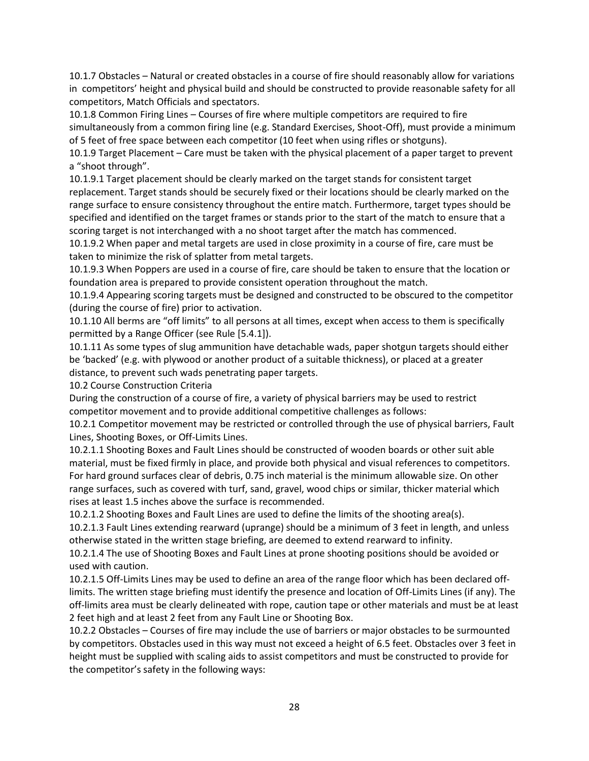10.1.7 Obstacles – Natural or created obstacles in a course of fire should reasonably allow for variations in competitors' height and physical build and should be constructed to provide reasonable safety for all competitors, Match Officials and spectators.

10.1.8 Common Firing Lines – Courses of fire where multiple competitors are required to fire simultaneously from a common firing line (e.g. Standard Exercises, Shoot-Off), must provide a minimum of 5 feet of free space between each competitor (10 feet when using rifles or shotguns).

10.1.9 Target Placement – Care must be taken with the physical placement of a paper target to prevent a "shoot through".

10.1.9.1 Target placement should be clearly marked on the target stands for consistent target replacement. Target stands should be securely fixed or their locations should be clearly marked on the range surface to ensure consistency throughout the entire match. Furthermore, target types should be specified and identified on the target frames or stands prior to the start of the match to ensure that a scoring target is not interchanged with a no shoot target after the match has commenced.

10.1.9.2 When paper and metal targets are used in close proximity in a course of fire, care must be taken to minimize the risk of splatter from metal targets.

10.1.9.3 When Poppers are used in a course of fire, care should be taken to ensure that the location or foundation area is prepared to provide consistent operation throughout the match.

10.1.9.4 Appearing scoring targets must be designed and constructed to be obscured to the competitor (during the course of fire) prior to activation.

10.1.10 All berms are "off limits" to all persons at all times, except when access to them is specifically permitted by a Range Officer (see Rule [5.4.1]).

10.1.11 As some types of slug ammunition have detachable wads, paper shotgun targets should either be 'backed' (e.g. with plywood or another product of a suitable thickness), or placed at a greater distance, to prevent such wads penetrating paper targets.

10.2 Course Construction Criteria

During the construction of a course of fire, a variety of physical barriers may be used to restrict competitor movement and to provide additional competitive challenges as follows:

10.2.1 Competitor movement may be restricted or controlled through the use of physical barriers, Fault Lines, Shooting Boxes, or Off-Limits Lines.

10.2.1.1 Shooting Boxes and Fault Lines should be constructed of wooden boards or other suit able material, must be fixed firmly in place, and provide both physical and visual references to competitors. For hard ground surfaces clear of debris, 0.75 inch material is the minimum allowable size. On other range surfaces, such as covered with turf, sand, gravel, wood chips or similar, thicker material which rises at least 1.5 inches above the surface is recommended.

10.2.1.2 Shooting Boxes and Fault Lines are used to define the limits of the shooting area(s).

10.2.1.3 Fault Lines extending rearward (uprange) should be a minimum of 3 feet in length, and unless otherwise stated in the written stage briefing, are deemed to extend rearward to infinity.

10.2.1.4 The use of Shooting Boxes and Fault Lines at prone shooting positions should be avoided or used with caution.

10.2.1.5 Off-Limits Lines may be used to define an area of the range floor which has been declared offlimits. The written stage briefing must identify the presence and location of Off-Limits Lines (if any). The off-limits area must be clearly delineated with rope, caution tape or other materials and must be at least 2 feet high and at least 2 feet from any Fault Line or Shooting Box.

10.2.2 Obstacles – Courses of fire may include the use of barriers or major obstacles to be surmounted by competitors. Obstacles used in this way must not exceed a height of 6.5 feet. Obstacles over 3 feet in height must be supplied with scaling aids to assist competitors and must be constructed to provide for the competitor's safety in the following ways: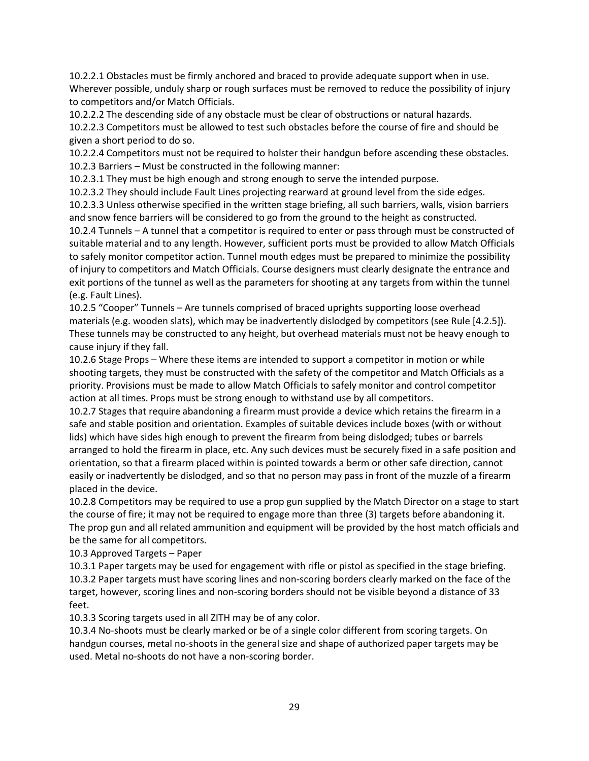10.2.2.1 Obstacles must be firmly anchored and braced to provide adequate support when in use. Wherever possible, unduly sharp or rough surfaces must be removed to reduce the possibility of injury to competitors and/or Match Officials.

10.2.2.2 The descending side of any obstacle must be clear of obstructions or natural hazards.

10.2.2.3 Competitors must be allowed to test such obstacles before the course of fire and should be given a short period to do so.

10.2.2.4 Competitors must not be required to holster their handgun before ascending these obstacles. 10.2.3 Barriers – Must be constructed in the following manner:

10.2.3.1 They must be high enough and strong enough to serve the intended purpose.

10.2.3.2 They should include Fault Lines projecting rearward at ground level from the side edges.

10.2.3.3 Unless otherwise specified in the written stage briefing, all such barriers, walls, vision barriers and snow fence barriers will be considered to go from the ground to the height as constructed.

10.2.4 Tunnels – A tunnel that a competitor is required to enter or pass through must be constructed of suitable material and to any length. However, sufficient ports must be provided to allow Match Officials to safely monitor competitor action. Tunnel mouth edges must be prepared to minimize the possibility of injury to competitors and Match Officials. Course designers must clearly designate the entrance and exit portions of the tunnel as well as the parameters for shooting at any targets from within the tunnel (e.g. Fault Lines).

10.2.5 "Cooper" Tunnels – Are tunnels comprised of braced uprights supporting loose overhead materials (e.g. wooden slats), which may be inadvertently dislodged by competitors (see Rule [4.2.5]). These tunnels may be constructed to any height, but overhead materials must not be heavy enough to cause injury if they fall.

10.2.6 Stage Props – Where these items are intended to support a competitor in motion or while shooting targets, they must be constructed with the safety of the competitor and Match Officials as a priority. Provisions must be made to allow Match Officials to safely monitor and control competitor action at all times. Props must be strong enough to withstand use by all competitors.

10.2.7 Stages that require abandoning a firearm must provide a device which retains the firearm in a safe and stable position and orientation. Examples of suitable devices include boxes (with or without lids) which have sides high enough to prevent the firearm from being dislodged; tubes or barrels arranged to hold the firearm in place, etc. Any such devices must be securely fixed in a safe position and orientation, so that a firearm placed within is pointed towards a berm or other safe direction, cannot easily or inadvertently be dislodged, and so that no person may pass in front of the muzzle of a firearm placed in the device.

10.2.8 Competitors may be required to use a prop gun supplied by the Match Director on a stage to start the course of fire; it may not be required to engage more than three (3) targets before abandoning it. The prop gun and all related ammunition and equipment will be provided by the host match officials and be the same for all competitors.

10.3 Approved Targets – Paper

10.3.1 Paper targets may be used for engagement with rifle or pistol as specified in the stage briefing. 10.3.2 Paper targets must have scoring lines and non-scoring borders clearly marked on the face of the target, however, scoring lines and non-scoring borders should not be visible beyond a distance of 33 feet.

10.3.3 Scoring targets used in all ZITH may be of any color.

10.3.4 No-shoots must be clearly marked or be of a single color different from scoring targets. On handgun courses, metal no-shoots in the general size and shape of authorized paper targets may be used. Metal no-shoots do not have a non-scoring border.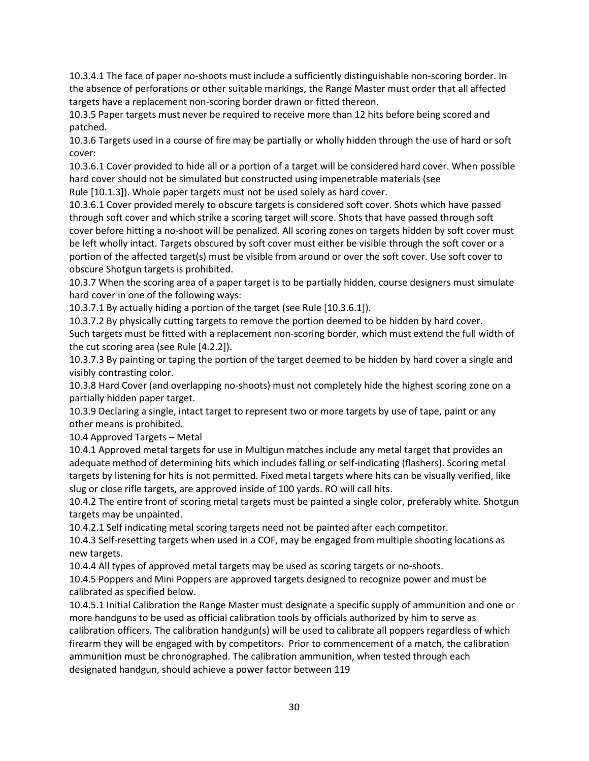10.3.4.1 The face of paper no-shoots must include a sufficiently distinguishable non-scoring border. In the absence of perforations or other suitable markings, the Range Master must order that all affected targets have a replacement non-scoring border drawn or fitted thereon.

10.3.5 Paper targets must never be required to receive more than 12 hits before being scored and patched.

10.3.6 Targets used in a course of fire may be partially or wholly hidden through the use of hard or soft cover:

10.3.6.1 Cover provided to hide all or a portion of a target will be considered hard cover. When possible hard cover should not be simulated but constructed using impenetrable materials (see

Rule [10.1.3]). Whole paper targets must not be used solely as hard cover.

10.3.6.1 Cover provided merely to obscure targets is considered soft cover. Shots which have passed through soft cover and which strike a scoring target will score. Shots that have passed through soft cover before hitting a no-shoot will be penalized. All scoring zones on targets hidden by soft cover must be left wholly intact. Targets obscured by soft cover must either be visible through the soft cover or a portion of the affected target(s) must be visible from around or over the soft cover. Use soft cover to obscure Shotgun targets is prohibited.

10.3.7 When the scoring area of a paper target is to be partially hidden, course designers must simulate hard cover in one of the following ways:

10.3.7.1 By actually hiding a portion of the target (see Rule [10.3.6.1]).

10.3.7.2 By physically cutting targets to remove the portion deemed to be hidden by hard cover.

Such targets must be fitted with a replacement non-scoring border, which must extend the full width of the cut scoring area (see Rule [4.2.2]).

10.3.7.3 By painting or taping the portion of the target deemed to be hidden by hard cover a single and visibly contrasting color.

10.3.8 Hard Cover (and overlapping no-shoots) must not completely hide the highest scoring zone on a partially hidden paper target.

10.3.9 Declaring a single, intact target to represent two or more targets by use of tape, paint or any other means is prohibited.

10.4 Approved Targets – Metal

10.4.1 Approved metal targets for use in Multigun matches include any metal target that provides an adequate method of determining hits which includes falling or self-indicating (flashers). Scoring metal targets by listening for hits is not permitted. Fixed metal targets where hits can be visually verified, like slug or close rifle targets, are approved inside of 100 yards. RO will call hits.

10.4.2 The entire front of scoring metal targets must be painted a single color, preferably white. Shotgun targets may be unpainted.

10.4.2.1 Self indicating metal scoring targets need not be painted after each competitor.

10.4.3 Self-resetting targets when used in a COF, may be engaged from multiple shooting locations as new targets.

10.4.4 All types of approved metal targets may be used as scoring targets or no-shoots.

10.4.5 Poppers and Mini Poppers are approved targets designed to recognize power and must be calibrated as specified below.

10.4.5.1 Initial Calibration the Range Master must designate a specific supply of ammunition and one or more handguns to be used as official calibration tools by officials authorized by him to serve as calibration officers. The calibration handgun(s) will be used to calibrate all poppers regardless of which firearm they will be engaged with by competitors. Prior to commencement of a match, the calibration ammunition must be chronographed. The calibration ammunition, when tested through each designated handgun, should achieve a power factor between 119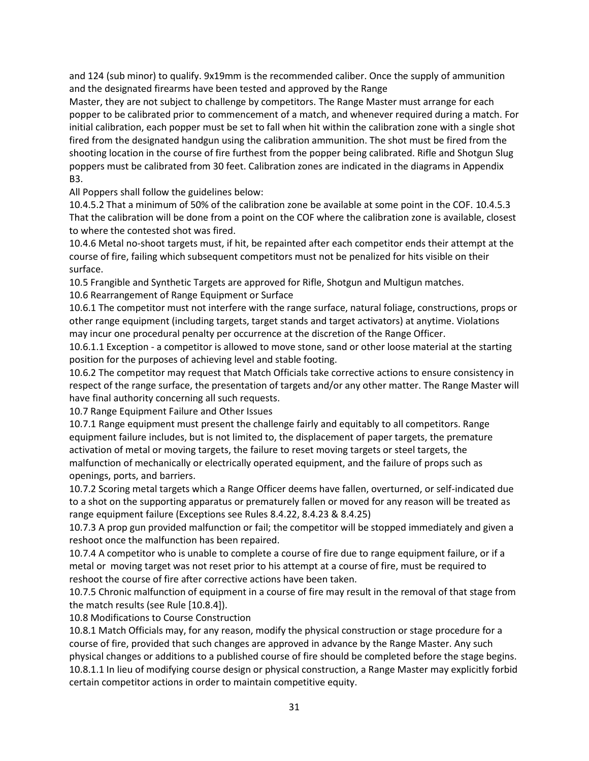and 124 (sub minor) to qualify. 9x19mm is the recommended caliber. Once the supply of ammunition and the designated firearms have been tested and approved by the Range

Master, they are not subject to challenge by competitors. The Range Master must arrange for each popper to be calibrated prior to commencement of a match, and whenever required during a match. For initial calibration, each popper must be set to fall when hit within the calibration zone with a single shot fired from the designated handgun using the calibration ammunition. The shot must be fired from the shooting location in the course of fire furthest from the popper being calibrated. Rifle and Shotgun Slug poppers must be calibrated from 30 feet. Calibration zones are indicated in the diagrams in Appendix B3.

All Poppers shall follow the guidelines below:

10.4.5.2 That a minimum of 50% of the calibration zone be available at some point in the COF. 10.4.5.3 That the calibration will be done from a point on the COF where the calibration zone is available, closest to where the contested shot was fired.

10.4.6 Metal no-shoot targets must, if hit, be repainted after each competitor ends their attempt at the course of fire, failing which subsequent competitors must not be penalized for hits visible on their surface.

10.5 Frangible and Synthetic Targets are approved for Rifle, Shotgun and Multigun matches.

10.6 Rearrangement of Range Equipment or Surface

10.6.1 The competitor must not interfere with the range surface, natural foliage, constructions, props or other range equipment (including targets, target stands and target activators) at anytime. Violations may incur one procedural penalty per occurrence at the discretion of the Range Officer.

10.6.1.1 Exception - a competitor is allowed to move stone, sand or other loose material at the starting position for the purposes of achieving level and stable footing.

10.6.2 The competitor may request that Match Officials take corrective actions to ensure consistency in respect of the range surface, the presentation of targets and/or any other matter. The Range Master will have final authority concerning all such requests.

10.7 Range Equipment Failure and Other Issues

10.7.1 Range equipment must present the challenge fairly and equitably to all competitors. Range equipment failure includes, but is not limited to, the displacement of paper targets, the premature activation of metal or moving targets, the failure to reset moving targets or steel targets, the malfunction of mechanically or electrically operated equipment, and the failure of props such as openings, ports, and barriers.

10.7.2 Scoring metal targets which a Range Officer deems have fallen, overturned, or self-indicated due to a shot on the supporting apparatus or prematurely fallen or moved for any reason will be treated as range equipment failure (Exceptions see Rules 8.4.22, 8.4.23 & 8.4.25)

10.7.3 A prop gun provided malfunction or fail; the competitor will be stopped immediately and given a reshoot once the malfunction has been repaired.

10.7.4 A competitor who is unable to complete a course of fire due to range equipment failure, or if a metal or moving target was not reset prior to his attempt at a course of fire, must be required to reshoot the course of fire after corrective actions have been taken.

10.7.5 Chronic malfunction of equipment in a course of fire may result in the removal of that stage from the match results (see Rule [10.8.4]).

10.8 Modifications to Course Construction

10.8.1 Match Officials may, for any reason, modify the physical construction or stage procedure for a course of fire, provided that such changes are approved in advance by the Range Master. Any such physical changes or additions to a published course of fire should be completed before the stage begins. 10.8.1.1 In lieu of modifying course design or physical construction, a Range Master may explicitly forbid certain competitor actions in order to maintain competitive equity.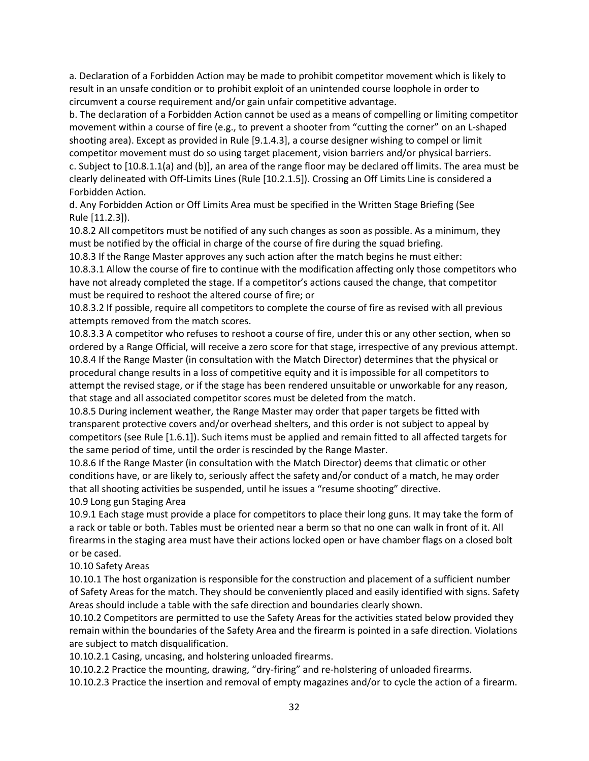a. Declaration of a Forbidden Action may be made to prohibit competitor movement which is likely to result in an unsafe condition or to prohibit exploit of an unintended course loophole in order to circumvent a course requirement and/or gain unfair competitive advantage.

b. The declaration of a Forbidden Action cannot be used as a means of compelling or limiting competitor movement within a course of fire (e.g., to prevent a shooter from "cutting the corner" on an L-shaped shooting area). Except as provided in Rule [9.1.4.3], a course designer wishing to compel or limit competitor movement must do so using target placement, vision barriers and/or physical barriers. c. Subject to [10.8.1.1(a) and (b)], an area of the range floor may be declared off limits. The area must be clearly delineated with Off-Limits Lines (Rule [10.2.1.5]). Crossing an Off Limits Line is considered a Forbidden Action.

d. Any Forbidden Action or Off Limits Area must be specified in the Written Stage Briefing (See Rule [11.2.3]).

10.8.2 All competitors must be notified of any such changes as soon as possible. As a minimum, they must be notified by the official in charge of the course of fire during the squad briefing.

10.8.3 If the Range Master approves any such action after the match begins he must either:

10.8.3.1 Allow the course of fire to continue with the modification affecting only those competitors who have not already completed the stage. If a competitor's actions caused the change, that competitor must be required to reshoot the altered course of fire; or

10.8.3.2 If possible, require all competitors to complete the course of fire as revised with all previous attempts removed from the match scores.

10.8.3.3 A competitor who refuses to reshoot a course of fire, under this or any other section, when so ordered by a Range Official, will receive a zero score for that stage, irrespective of any previous attempt. 10.8.4 If the Range Master (in consultation with the Match Director) determines that the physical or procedural change results in a loss of competitive equity and it is impossible for all competitors to attempt the revised stage, or if the stage has been rendered unsuitable or unworkable for any reason, that stage and all associated competitor scores must be deleted from the match.

10.8.5 During inclement weather, the Range Master may order that paper targets be fitted with transparent protective covers and/or overhead shelters, and this order is not subject to appeal by competitors (see Rule [1.6.1]). Such items must be applied and remain fitted to all affected targets for the same period of time, until the order is rescinded by the Range Master.

10.8.6 If the Range Master (in consultation with the Match Director) deems that climatic or other conditions have, or are likely to, seriously affect the safety and/or conduct of a match, he may order that all shooting activities be suspended, until he issues a "resume shooting" directive. 10.9 Long gun Staging Area

10.9.1 Each stage must provide a place for competitors to place their long guns. It may take the form of a rack or table or both. Tables must be oriented near a berm so that no one can walk in front of it. All firearms in the staging area must have their actions locked open or have chamber flags on a closed bolt or be cased.

#### 10.10 Safety Areas

10.10.1 The host organization is responsible for the construction and placement of a sufficient number of Safety Areas for the match. They should be conveniently placed and easily identified with signs. Safety Areas should include a table with the safe direction and boundaries clearly shown.

10.10.2 Competitors are permitted to use the Safety Areas for the activities stated below provided they remain within the boundaries of the Safety Area and the firearm is pointed in a safe direction. Violations are subject to match disqualification.

10.10.2.1 Casing, uncasing, and holstering unloaded firearms.

10.10.2.2 Practice the mounting, drawing, "dry-firing" and re-holstering of unloaded firearms.

10.10.2.3 Practice the insertion and removal of empty magazines and/or to cycle the action of a firearm.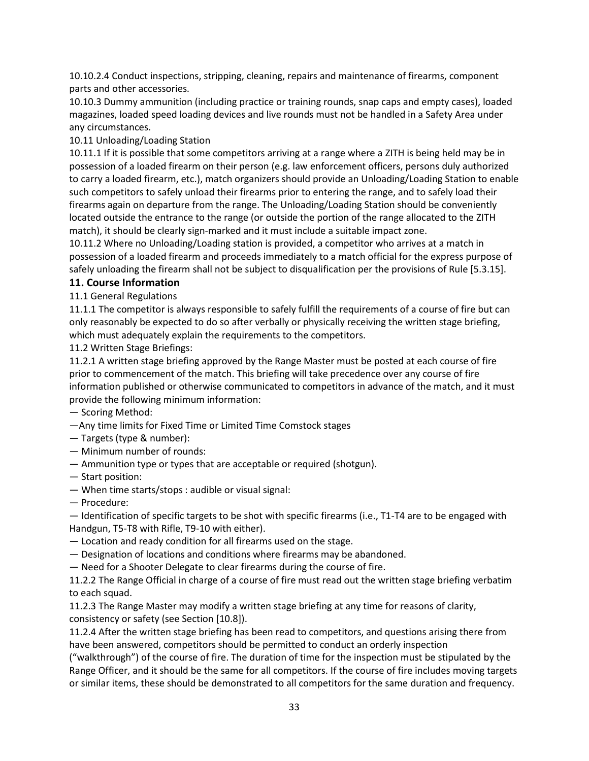10.10.2.4 Conduct inspections, stripping, cleaning, repairs and maintenance of firearms, component parts and other accessories.

10.10.3 Dummy ammunition (including practice or training rounds, snap caps and empty cases), loaded magazines, loaded speed loading devices and live rounds must not be handled in a Safety Area under any circumstances.

10.11 Unloading/Loading Station

10.11.1 If it is possible that some competitors arriving at a range where a ZITH is being held may be in possession of a loaded firearm on their person (e.g. law enforcement officers, persons duly authorized to carry a loaded firearm, etc.), match organizers should provide an Unloading/Loading Station to enable such competitors to safely unload their firearms prior to entering the range, and to safely load their firearms again on departure from the range. The Unloading/Loading Station should be conveniently located outside the entrance to the range (or outside the portion of the range allocated to the ZITH match), it should be clearly sign-marked and it must include a suitable impact zone.

10.11.2 Where no Unloading/Loading station is provided, a competitor who arrives at a match in possession of a loaded firearm and proceeds immediately to a match official for the express purpose of safely unloading the firearm shall not be subject to disqualification per the provisions of Rule [5.3.15].

#### **11. Course Information**

#### 11.1 General Regulations

11.1.1 The competitor is always responsible to safely fulfill the requirements of a course of fire but can only reasonably be expected to do so after verbally or physically receiving the written stage briefing, which must adequately explain the requirements to the competitors.

11.2 Written Stage Briefings:

11.2.1 A written stage briefing approved by the Range Master must be posted at each course of fire prior to commencement of the match. This briefing will take precedence over any course of fire information published or otherwise communicated to competitors in advance of the match, and it must provide the following minimum information:

— Scoring Method:

- —Any time limits for Fixed Time or Limited Time Comstock stages
- Targets (type & number):
- Minimum number of rounds:
- Ammunition type or types that are acceptable or required (shotgun).
- Start position:
- When time starts/stops : audible or visual signal:
- Procedure:

— Identification of specific targets to be shot with specific firearms (i.e., T1-T4 are to be engaged with Handgun, T5-T8 with Rifle, T9-10 with either).

- Location and ready condition for all firearms used on the stage.
- Designation of locations and conditions where firearms may be abandoned.
- Need for a Shooter Delegate to clear firearms during the course of fire.

11.2.2 The Range Official in charge of a course of fire must read out the written stage briefing verbatim to each squad.

11.2.3 The Range Master may modify a written stage briefing at any time for reasons of clarity, consistency or safety (see Section [10.8]).

11.2.4 After the written stage briefing has been read to competitors, and questions arising there from have been answered, competitors should be permitted to conduct an orderly inspection

("walkthrough") of the course of fire. The duration of time for the inspection must be stipulated by the Range Officer, and it should be the same for all competitors. If the course of fire includes moving targets or similar items, these should be demonstrated to all competitors for the same duration and frequency.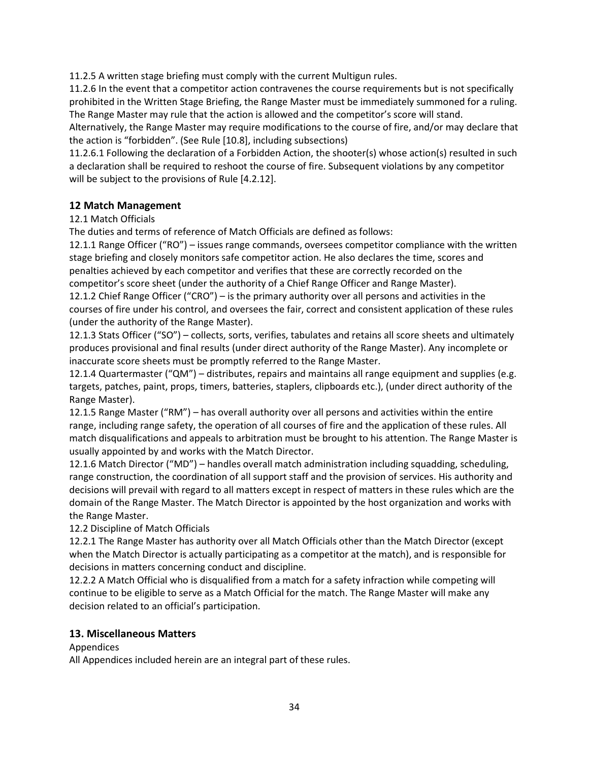11.2.5 A written stage briefing must comply with the current Multigun rules.

11.2.6 In the event that a competitor action contravenes the course requirements but is not specifically prohibited in the Written Stage Briefing, the Range Master must be immediately summoned for a ruling. The Range Master may rule that the action is allowed and the competitor's score will stand.

Alternatively, the Range Master may require modifications to the course of fire, and/or may declare that the action is "forbidden". (See Rule [10.8], including subsections)

11.2.6.1 Following the declaration of a Forbidden Action, the shooter(s) whose action(s) resulted in such a declaration shall be required to reshoot the course of fire. Subsequent violations by any competitor will be subject to the provisions of Rule [4.2.12].

#### **12 Match Management**

#### 12.1 Match Officials

The duties and terms of reference of Match Officials are defined as follows:

12.1.1 Range Officer ("RO") – issues range commands, oversees competitor compliance with the written stage briefing and closely monitors safe competitor action. He also declares the time, scores and penalties achieved by each competitor and verifies that these are correctly recorded on the competitor's score sheet (under the authority of a Chief Range Officer and Range Master). 12.1.2 Chief Range Officer ("CRO") – is the primary authority over all persons and activities in the

courses of fire under his control, and oversees the fair, correct and consistent application of these rules (under the authority of the Range Master).

12.1.3 Stats Officer ("SO") – collects, sorts, verifies, tabulates and retains all score sheets and ultimately produces provisional and final results (under direct authority of the Range Master). Any incomplete or inaccurate score sheets must be promptly referred to the Range Master.

12.1.4 Quartermaster ("QM") – distributes, repairs and maintains all range equipment and supplies (e.g. targets, patches, paint, props, timers, batteries, staplers, clipboards etc.), (under direct authority of the Range Master).

12.1.5 Range Master ("RM") – has overall authority over all persons and activities within the entire range, including range safety, the operation of all courses of fire and the application of these rules. All match disqualifications and appeals to arbitration must be brought to his attention. The Range Master is usually appointed by and works with the Match Director.

12.1.6 Match Director ("MD") – handles overall match administration including squadding, scheduling, range construction, the coordination of all support staff and the provision of services. His authority and decisions will prevail with regard to all matters except in respect of matters in these rules which are the domain of the Range Master. The Match Director is appointed by the host organization and works with the Range Master.

#### 12.2 Discipline of Match Officials

12.2.1 The Range Master has authority over all Match Officials other than the Match Director (except when the Match Director is actually participating as a competitor at the match), and is responsible for decisions in matters concerning conduct and discipline.

12.2.2 A Match Official who is disqualified from a match for a safety infraction while competing will continue to be eligible to serve as a Match Official for the match. The Range Master will make any decision related to an official's participation.

#### **13. Miscellaneous Matters**

#### Appendices

All Appendices included herein are an integral part of these rules.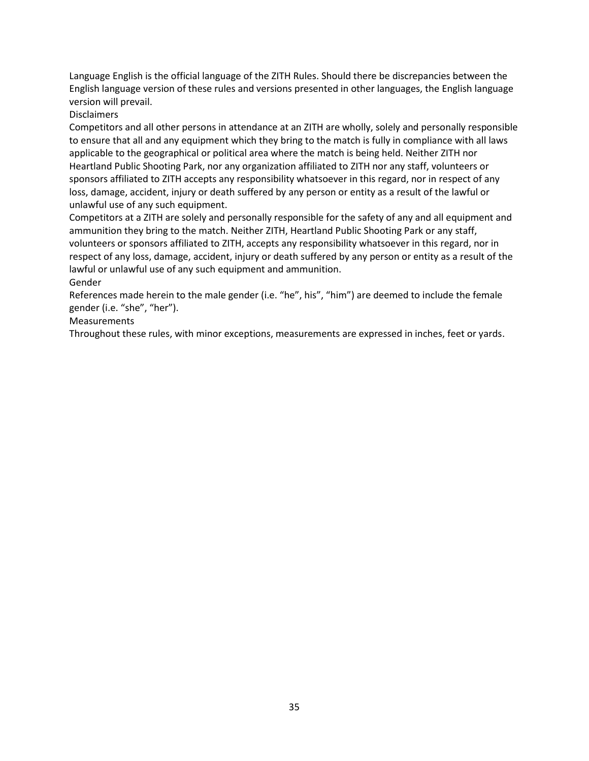Language English is the official language of the ZITH Rules. Should there be discrepancies between the English language version of these rules and versions presented in other languages, the English language version will prevail.

#### **Disclaimers**

Competitors and all other persons in attendance at an ZITH are wholly, solely and personally responsible to ensure that all and any equipment which they bring to the match is fully in compliance with all laws applicable to the geographical or political area where the match is being held. Neither ZITH nor Heartland Public Shooting Park, nor any organization affiliated to ZITH nor any staff, volunteers or sponsors affiliated to ZITH accepts any responsibility whatsoever in this regard, nor in respect of any loss, damage, accident, injury or death suffered by any person or entity as a result of the lawful or unlawful use of any such equipment.

Competitors at a ZITH are solely and personally responsible for the safety of any and all equipment and ammunition they bring to the match. Neither ZITH, Heartland Public Shooting Park or any staff, volunteers or sponsors affiliated to ZITH, accepts any responsibility whatsoever in this regard, nor in respect of any loss, damage, accident, injury or death suffered by any person or entity as a result of the lawful or unlawful use of any such equipment and ammunition.

#### Gender

References made herein to the male gender (i.e. "he", his", "him") are deemed to include the female gender (i.e. "she", "her").

#### Measurements

Throughout these rules, with minor exceptions, measurements are expressed in inches, feet or yards.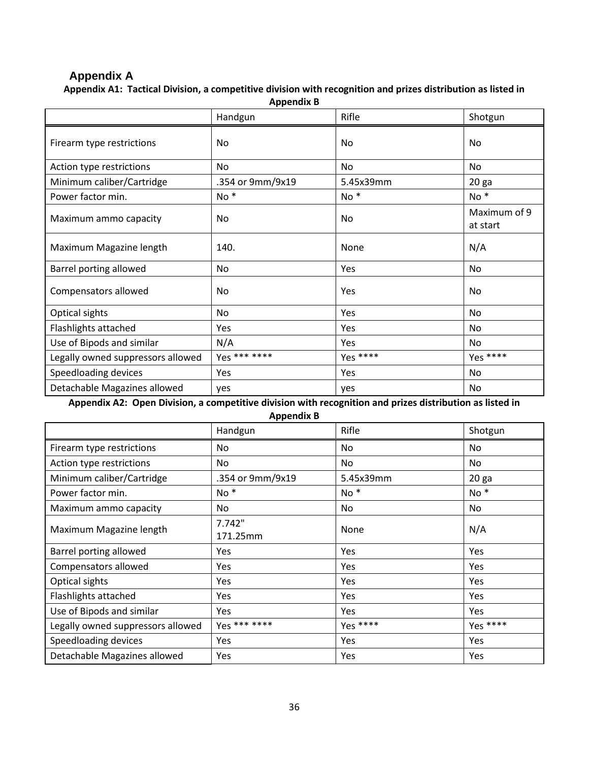# **Appendix A**

**Appendix A1: Tactical Division, a competitive division with recognition and prizes distribution as listed in Appendix B**

| <b>Appelluix D</b>                |                  |                |                          |  |
|-----------------------------------|------------------|----------------|--------------------------|--|
|                                   | Handgun          | Rifle          | Shotgun                  |  |
| Firearm type restrictions         | No               | <b>No</b>      | No                       |  |
| Action type restrictions          | No               | No             | No                       |  |
| Minimum caliber/Cartridge         | .354 or 9mm/9x19 | 5.45x39mm      | 20 <sub>ga</sub>         |  |
| Power factor min.                 | No <sup>*</sup>  | $No *$         | $No *$                   |  |
| Maximum ammo capacity             | No               | N <sub>0</sub> | Maximum of 9<br>at start |  |
| Maximum Magazine length           | 140.             | None           | N/A                      |  |
| Barrel porting allowed            | No               | Yes            | No                       |  |
| Compensators allowed              | No               | Yes            | No                       |  |
| Optical sights                    | No               | Yes            | No                       |  |
| Flashlights attached              | Yes              | Yes            | No                       |  |
| Use of Bipods and similar         | N/A              | Yes            | No                       |  |
| Legally owned suppressors allowed | Yes *** ****     | Yes ****       | $Yes ***$                |  |
| Speedloading devices              | Yes              | Yes            | No                       |  |
| Detachable Magazines allowed      | yes              | yes            | No                       |  |

**Appendix A2: Open Division, a competitive division with recognition and prizes distribution as listed in** 

**Appendix B**

|                                   | . .<br>Handgun     | Rifle           | Shotgun          |
|-----------------------------------|--------------------|-----------------|------------------|
| Firearm type restrictions         | No.                | No              | No.              |
| Action type restrictions          | No                 | No              | No.              |
| Minimum caliber/Cartridge         | .354 or 9mm/9x19   | 5.45x39mm       | 20 <sub>ga</sub> |
| Power factor min.                 | $No *$             | No <sup>*</sup> | $No *$           |
| Maximum ammo capacity             | No                 | No              | No.              |
| Maximum Magazine length           | 7.742"<br>171.25mm | <b>None</b>     | N/A              |
| Barrel porting allowed            | Yes                | <b>Yes</b>      | Yes              |
| Compensators allowed              | Yes                | Yes             | <b>Yes</b>       |
| Optical sights                    | Yes                | Yes             | Yes              |
| <b>Flashlights attached</b>       | Yes                | Yes             | <b>Yes</b>       |
| Use of Bipods and similar         | Yes                | Yes             | <b>Yes</b>       |
| Legally owned suppressors allowed | Yes *** ****       | Yes ****        | Yes ****         |
| Speedloading devices              | Yes                | Yes             | Yes              |
| Detachable Magazines allowed      | Yes                | Yes             | Yes              |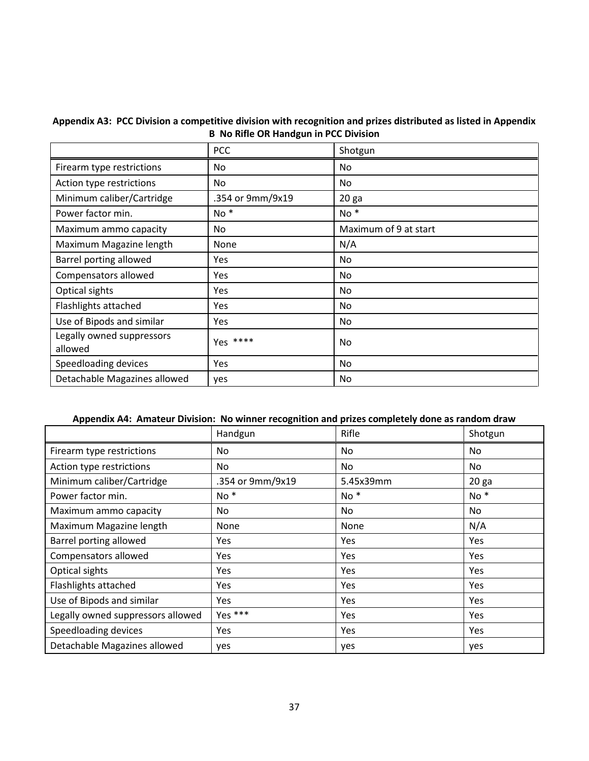|                                      | <b>PCC</b>       | Shotgun               |  |  |
|--------------------------------------|------------------|-----------------------|--|--|
| Firearm type restrictions            | No.              | No                    |  |  |
| Action type restrictions             | No.              | No                    |  |  |
| Minimum caliber/Cartridge            | .354 or 9mm/9x19 | 20 <sub>ga</sub>      |  |  |
| Power factor min.                    | No*              | $No *$                |  |  |
| Maximum ammo capacity                | No.              | Maximum of 9 at start |  |  |
| Maximum Magazine length              | None             | N/A                   |  |  |
| Barrel porting allowed               | Yes              | No                    |  |  |
| Compensators allowed                 | Yes              | No                    |  |  |
| Optical sights                       | <b>Yes</b>       | No                    |  |  |
| Flashlights attached                 | Yes              | No                    |  |  |
| Use of Bipods and similar            | <b>Yes</b>       | No.                   |  |  |
| Legally owned suppressors<br>allowed | Yes ****         | No                    |  |  |
| Speedloading devices                 | Yes              | No                    |  |  |
| Detachable Magazines allowed         | yes              | No                    |  |  |

#### **Appendix A3: PCC Division a competitive division with recognition and prizes distributed as listed in Appendix B No Rifle OR Handgun in PCC Division**

## **Appendix A4: Amateur Division: No winner recognition and prizes completely done as random draw**

|                                   | Handgun          | Rifle           | Shotgun          |
|-----------------------------------|------------------|-----------------|------------------|
| Firearm type restrictions         | No               | No.             | No.              |
| Action type restrictions          | No               | No.             | No               |
| Minimum caliber/Cartridge         | .354 or 9mm/9x19 | 5.45x39mm       | 20 <sub>ga</sub> |
| Power factor min.                 | No <sup>*</sup>  | No <sup>*</sup> | $No *$           |
| Maximum ammo capacity             | No               | No.             | No               |
| Maximum Magazine length           | <b>None</b>      | None            | N/A              |
| Barrel porting allowed            | Yes              | <b>Yes</b>      | <b>Yes</b>       |
| Compensators allowed              | Yes              | Yes             | <b>Yes</b>       |
| Optical sights                    | Yes              | <b>Yes</b>      | <b>Yes</b>       |
| Flashlights attached              | <b>Yes</b>       | Yes             | <b>Yes</b>       |
| Use of Bipods and similar         | Yes              | Yes             | <b>Yes</b>       |
| Legally owned suppressors allowed | Yes ***          | Yes             | <b>Yes</b>       |
| Speedloading devices              | Yes              | Yes             | Yes              |
| Detachable Magazines allowed      | yes              | yes             | yes              |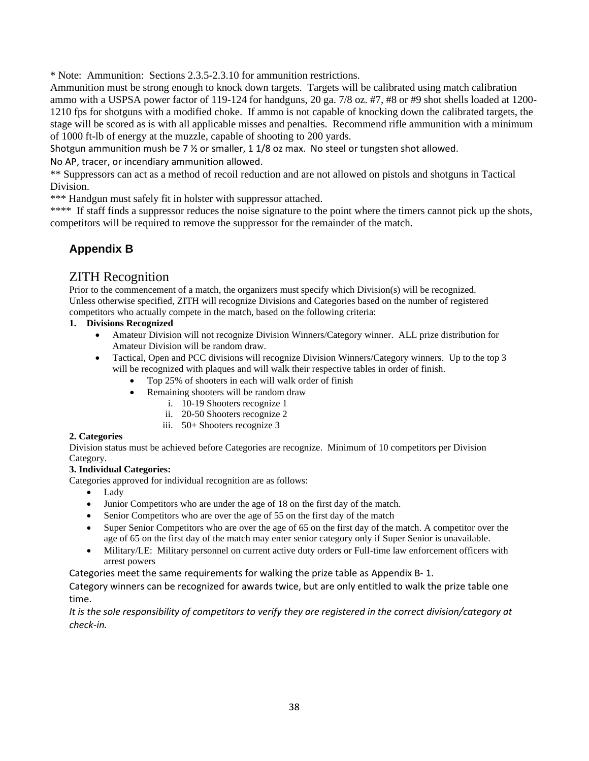\* Note: Ammunition: Sections 2.3.5-2.3.10 for ammunition restrictions.

Ammunition must be strong enough to knock down targets. Targets will be calibrated using match calibration ammo with a USPSA power factor of 119-124 for handguns, 20 ga. 7/8 oz. #7, #8 or #9 shot shells loaded at 1200- 1210 fps for shotguns with a modified choke. If ammo is not capable of knocking down the calibrated targets, the stage will be scored as is with all applicable misses and penalties. Recommend rifle ammunition with a minimum of 1000 ft-lb of energy at the muzzle, capable of shooting to 200 yards.

Shotgun ammunition mush be 7  $\frac{1}{2}$  or smaller, 1 1/8 oz max. No steel or tungsten shot allowed.

No AP, tracer, or incendiary ammunition allowed.

\*\* Suppressors can act as a method of recoil reduction and are not allowed on pistols and shotguns in Tactical Division.

\*\*\* Handgun must safely fit in holster with suppressor attached.

\*\*\*\* If staff finds a suppressor reduces the noise signature to the point where the timers cannot pick up the shots, competitors will be required to remove the suppressor for the remainder of the match.

# **Appendix B**

# ZITH Recognition

Prior to the commencement of a match, the organizers must specify which Division(s) will be recognized. Unless otherwise specified, ZITH will recognize Divisions and Categories based on the number of registered competitors who actually compete in the match, based on the following criteria:

#### **1. Divisions Recognized**

- Amateur Division will not recognize Division Winners/Category winner. ALL prize distribution for Amateur Division will be random draw.
- Tactical, Open and PCC divisions will recognize Division Winners/Category winners. Up to the top 3 will be recognized with plaques and will walk their respective tables in order of finish.
	- Top 25% of shooters in each will walk order of finish
		- Remaining shooters will be random draw
			- i. 10-19 Shooters recognize 1
			- ii. 20-50 Shooters recognize 2
			- iii. 50+ Shooters recognize 3

#### **2. Categories**

Division status must be achieved before Categories are recognize. Minimum of 10 competitors per Division Category.

#### **3. Individual Categories:**

Categories approved for individual recognition are as follows:

- Lady
- Junior Competitors who are under the age of 18 on the first day of the match.
- Senior Competitors who are over the age of 55 on the first day of the match
- Super Senior Competitors who are over the age of 65 on the first day of the match. A competitor over the age of 65 on the first day of the match may enter senior category only if Super Senior is unavailable.
- Military/LE: Military personnel on current active duty orders or Full-time law enforcement officers with arrest powers

Categories meet the same requirements for walking the prize table as Appendix B- 1.

Category winners can be recognized for awards twice, but are only entitled to walk the prize table one time.

*It is the sole responsibility of competitors to verify they are registered in the correct division/category at check-in.*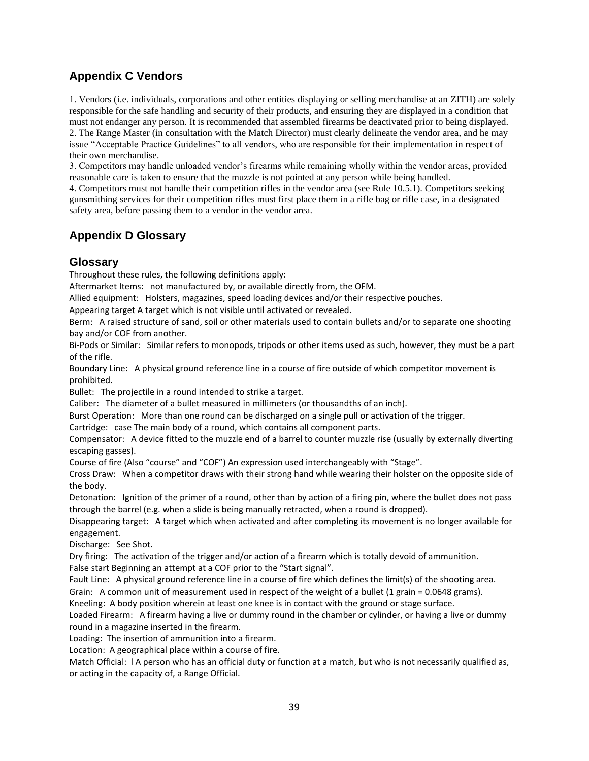# **Appendix C Vendors**

1. Vendors (i.e. individuals, corporations and other entities displaying or selling merchandise at an ZITH) are solely responsible for the safe handling and security of their products, and ensuring they are displayed in a condition that must not endanger any person. It is recommended that assembled firearms be deactivated prior to being displayed. 2. The Range Master (in consultation with the Match Director) must clearly delineate the vendor area, and he may issue "Acceptable Practice Guidelines" to all vendors, who are responsible for their implementation in respect of their own merchandise.

3. Competitors may handle unloaded vendor's firearms while remaining wholly within the vendor areas, provided reasonable care is taken to ensure that the muzzle is not pointed at any person while being handled.

4. Competitors must not handle their competition rifles in the vendor area (see Rule 10.5.1). Competitors seeking gunsmithing services for their competition rifles must first place them in a rifle bag or rifle case, in a designated safety area, before passing them to a vendor in the vendor area.

# **Appendix D Glossary**

# **Glossary**

Throughout these rules, the following definitions apply:

Aftermarket Items: not manufactured by, or available directly from, the OFM.

Allied equipment: Holsters, magazines, speed loading devices and/or their respective pouches.

Appearing target A target which is not visible until activated or revealed.

Berm: A raised structure of sand, soil or other materials used to contain bullets and/or to separate one shooting bay and/or COF from another.

Bi-Pods or Similar: Similar refers to monopods, tripods or other items used as such, however, they must be a part of the rifle.

Boundary Line: A physical ground reference line in a course of fire outside of which competitor movement is prohibited.

Bullet: The projectile in a round intended to strike a target.

Caliber: The diameter of a bullet measured in millimeters (or thousandths of an inch).

Burst Operation: More than one round can be discharged on a single pull or activation of the trigger.

Cartridge: case The main body of a round, which contains all component parts.

Compensator: A device fitted to the muzzle end of a barrel to counter muzzle rise (usually by externally diverting escaping gasses).

Course of fire (Also "course" and "COF") An expression used interchangeably with "Stage".

Cross Draw: When a competitor draws with their strong hand while wearing their holster on the opposite side of the body.

Detonation: Ignition of the primer of a round, other than by action of a firing pin, where the bullet does not pass through the barrel (e.g. when a slide is being manually retracted, when a round is dropped).

Disappearing target: A target which when activated and after completing its movement is no longer available for engagement.

Discharge: See Shot.

Dry firing: The activation of the trigger and/or action of a firearm which is totally devoid of ammunition. False start Beginning an attempt at a COF prior to the "Start signal".

Fault Line: A physical ground reference line in a course of fire which defines the limit(s) of the shooting area.

Grain: A common unit of measurement used in respect of the weight of a bullet (1 grain = 0.0648 grams).

Kneeling: A body position wherein at least one knee is in contact with the ground or stage surface.

Loaded Firearm: A firearm having a live or dummy round in the chamber or cylinder, or having a live or dummy round in a magazine inserted in the firearm.

Loading: The insertion of ammunition into a firearm.

Location: A geographical place within a course of fire.

Match Official: l A person who has an official duty or function at a match, but who is not necessarily qualified as, or acting in the capacity of, a Range Official.